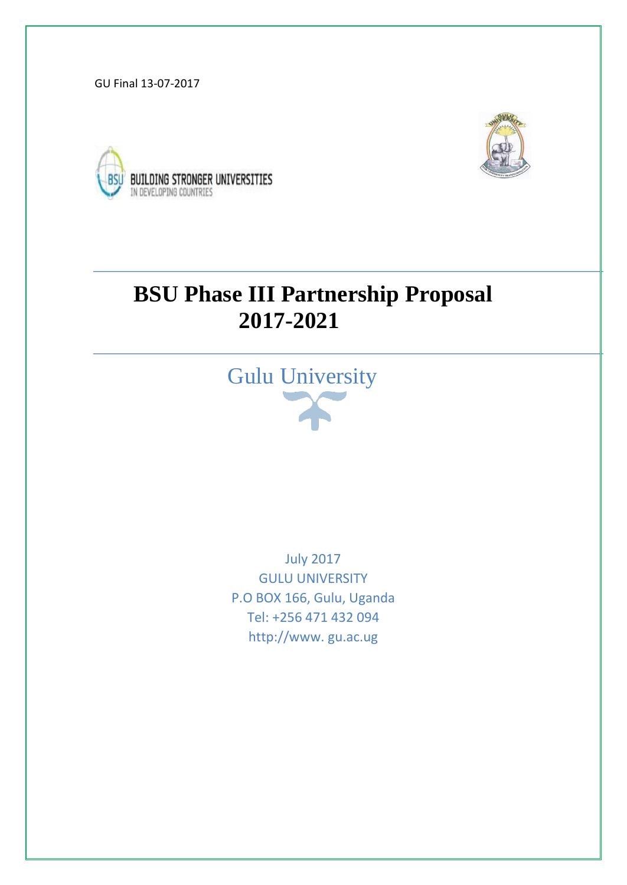GU Final 13-07-2017





# **BSU Phase III Partnership Proposal 2017-2021**



July 2017 GULU UNIVERSITY P.O BOX 166, Gulu, Uganda Tel: +256 471 432 094 http://www. gu.ac.ug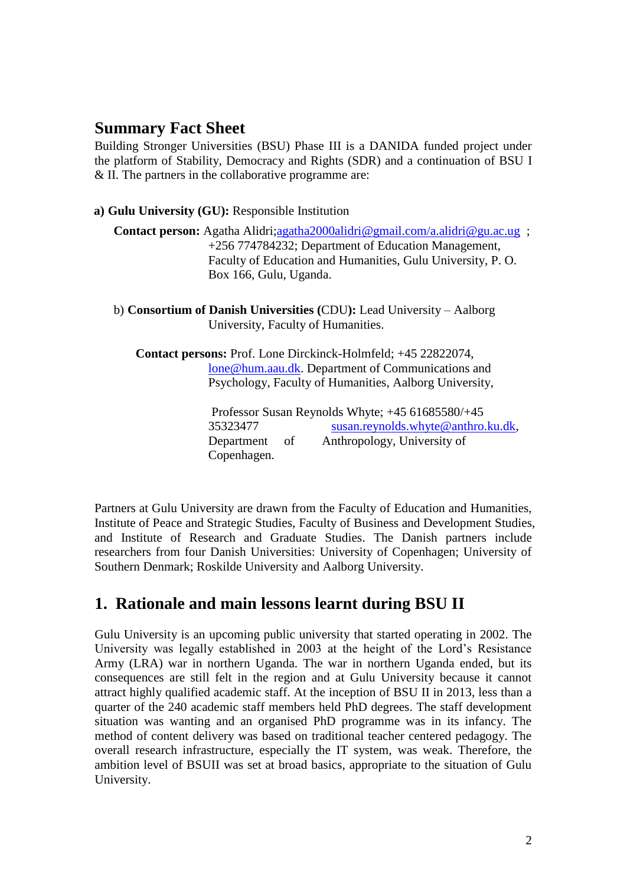## **Summary Fact Sheet**

Building Stronger Universities (BSU) Phase III is a DANIDA funded project under the platform of Stability, Democracy and Rights (SDR) and a continuation of BSU I & II. The partners in the collaborative programme are:

**a) Gulu University (GU):** Responsible Institution

**Contact person:** Agatha Alidri[;agatha2000alidri@gmail.com/a.alidri@gu.ac.ug](mailto:agatha2000alidri@gmail.com/a.alidri@gu.ac.ug) ; +256 774784232; Department of Education Management, Faculty of Education and Humanities, Gulu University, P. O. Box 166, Gulu, Uganda.

b) **Consortium of Danish Universities (**CDU**):** Lead University – Aalborg University, Faculty of Humanities.

 **Contact persons:** Prof. Lone Dirckinck-Holmfeld; +45 22822074, [lone@hum.aau.dk.](mailto:lone@hum.aau.dk) Department of Communications and Psychology, Faculty of Humanities, Aalborg University,

> Professor Susan Reynolds Whyte; +45 61685580/+45 35323477 susan.reynolds.whyte@anthro.ku.dk, Department of Anthropology, University of Copenhagen.

Partners at Gulu University are drawn from the Faculty of Education and Humanities, Institute of Peace and Strategic Studies, Faculty of Business and Development Studies, and Institute of Research and Graduate Studies. The Danish partners include researchers from four Danish Universities: University of Copenhagen; University of Southern Denmark; Roskilde University and Aalborg University.

# **1. Rationale and main lessons learnt during BSU II**

Gulu University is an upcoming public university that started operating in 2002. The University was legally established in 2003 at the height of the Lord's Resistance Army (LRA) war in northern Uganda. The war in northern Uganda ended, but its consequences are still felt in the region and at Gulu University because it cannot attract highly qualified academic staff. At the inception of BSU II in 2013, less than a quarter of the 240 academic staff members held PhD degrees. The staff development situation was wanting and an organised PhD programme was in its infancy. The method of content delivery was based on traditional teacher centered pedagogy. The overall research infrastructure, especially the IT system, was weak. Therefore, the ambition level of BSUII was set at broad basics, appropriate to the situation of Gulu University.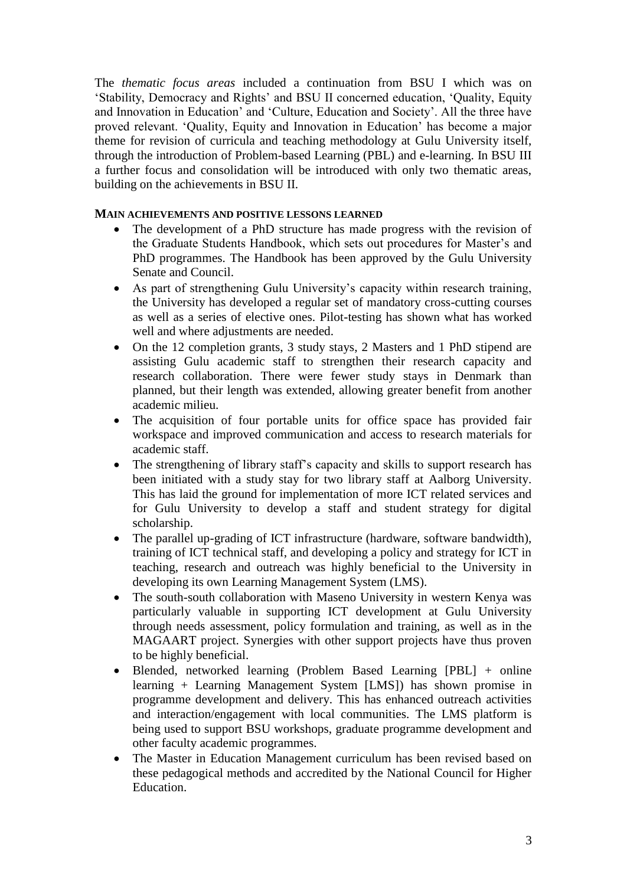The *thematic focus areas* included a continuation from BSU I which was on 'Stability, Democracy and Rights' and BSU II concerned education, 'Quality, Equity and Innovation in Education' and 'Culture, Education and Society'. All the three have proved relevant. 'Quality, Equity and Innovation in Education' has become a major theme for revision of curricula and teaching methodology at Gulu University itself, through the introduction of Problem-based Learning (PBL) and e-learning. In BSU III a further focus and consolidation will be introduced with only two thematic areas, building on the achievements in BSU II.

### **MAIN ACHIEVEMENTS AND POSITIVE LESSONS LEARNED**

- The development of a PhD structure has made progress with the revision of the Graduate Students Handbook, which sets out procedures for Master's and PhD programmes. The Handbook has been approved by the Gulu University Senate and Council.
- As part of strengthening Gulu University's capacity within research training, the University has developed a regular set of mandatory cross-cutting courses as well as a series of elective ones. Pilot-testing has shown what has worked well and where adjustments are needed.
- On the 12 completion grants, 3 study stays, 2 Masters and 1 PhD stipend are assisting Gulu academic staff to strengthen their research capacity and research collaboration. There were fewer study stays in Denmark than planned, but their length was extended, allowing greater benefit from another academic milieu.
- The acquisition of four portable units for office space has provided fair workspace and improved communication and access to research materials for academic staff.
- The strengthening of library staff's capacity and skills to support research has been initiated with a study stay for two library staff at Aalborg University. This has laid the ground for implementation of more ICT related services and for Gulu University to develop a staff and student strategy for digital scholarship.
- The parallel up-grading of ICT infrastructure (hardware, software bandwidth), training of ICT technical staff, and developing a policy and strategy for ICT in teaching, research and outreach was highly beneficial to the University in developing its own Learning Management System (LMS).
- The south-south collaboration with Maseno University in western Kenya was particularly valuable in supporting ICT development at Gulu University through needs assessment, policy formulation and training, as well as in the MAGAART project. Synergies with other support projects have thus proven to be highly beneficial.
- Blended, networked learning (Problem Based Learning [PBL] + online learning + Learning Management System [LMS]) has shown promise in programme development and delivery. This has enhanced outreach activities and interaction/engagement with local communities. The LMS platform is being used to support BSU workshops, graduate programme development and other faculty academic programmes.
- The Master in Education Management curriculum has been revised based on these pedagogical methods and accredited by the National Council for Higher Education.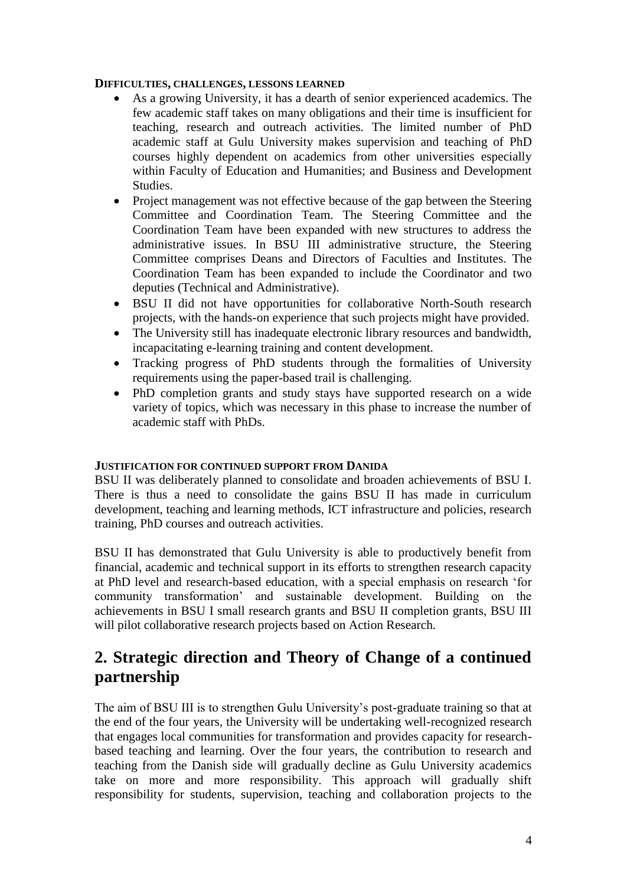### **DIFFICULTIES, CHALLENGES, LESSONS LEARNED**

- As a growing University, it has a dearth of senior experienced academics. The few academic staff takes on many obligations and their time is insufficient for teaching, research and outreach activities. The limited number of PhD academic staff at Gulu University makes supervision and teaching of PhD courses highly dependent on academics from other universities especially within Faculty of Education and Humanities; and Business and Development Studies.
- Project management was not effective because of the gap between the Steering Committee and Coordination Team. The Steering Committee and the Coordination Team have been expanded with new structures to address the administrative issues. In BSU III administrative structure, the Steering Committee comprises Deans and Directors of Faculties and Institutes. The Coordination Team has been expanded to include the Coordinator and two deputies (Technical and Administrative).
- BSU II did not have opportunities for collaborative North-South research projects, with the hands-on experience that such projects might have provided.
- The University still has inadequate electronic library resources and bandwidth, incapacitating e-learning training and content development.
- Tracking progress of PhD students through the formalities of University requirements using the paper-based trail is challenging.
- PhD completion grants and study stays have supported research on a wide variety of topics, which was necessary in this phase to increase the number of academic staff with PhDs.

### **JUSTIFICATION FOR CONTINUED SUPPORT FROM DANIDA**

BSU II was deliberately planned to consolidate and broaden achievements of BSU I. There is thus a need to consolidate the gains BSU II has made in curriculum development, teaching and learning methods, ICT infrastructure and policies, research training, PhD courses and outreach activities.

BSU II has demonstrated that Gulu University is able to productively benefit from financial, academic and technical support in its efforts to strengthen research capacity at PhD level and research-based education, with a special emphasis on research 'for community transformation' and sustainable development. Building on the achievements in BSU I small research grants and BSU II completion grants, BSU III will pilot collaborative research projects based on Action Research.

# **2. Strategic direction and Theory of Change of a continued partnership**

The aim of BSU III is to strengthen Gulu University's post-graduate training so that at the end of the four years, the University will be undertaking well-recognized research that engages local communities for transformation and provides capacity for researchbased teaching and learning. Over the four years, the contribution to research and teaching from the Danish side will gradually decline as Gulu University academics take on more and more responsibility. This approach will gradually shift responsibility for students, supervision, teaching and collaboration projects to the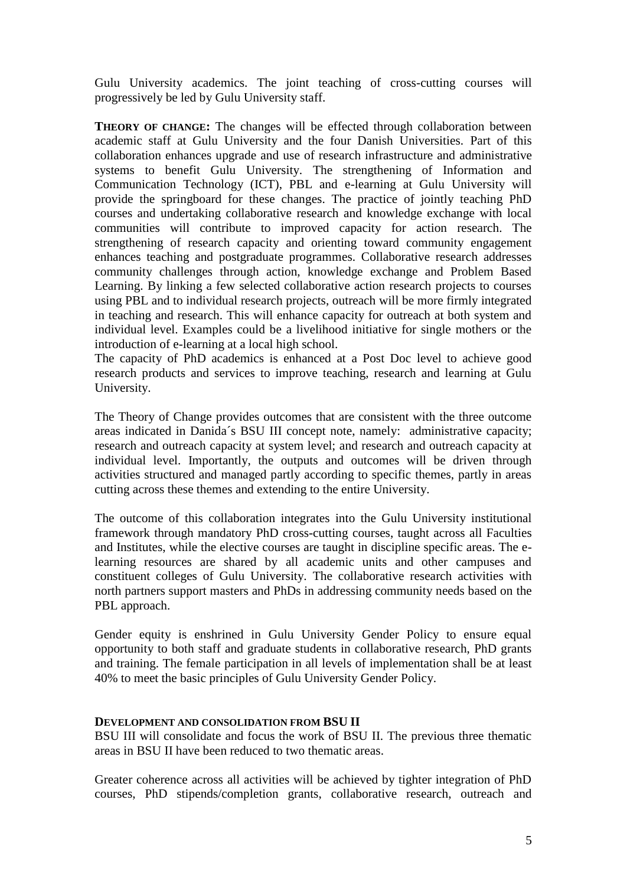Gulu University academics. The joint teaching of cross-cutting courses will progressively be led by Gulu University staff.

**THEORY OF CHANGE:** The changes will be effected through collaboration between academic staff at Gulu University and the four Danish Universities. Part of this collaboration enhances upgrade and use of research infrastructure and administrative systems to benefit Gulu University. The strengthening of Information and Communication Technology (ICT), PBL and e-learning at Gulu University will provide the springboard for these changes. The practice of jointly teaching PhD courses and undertaking collaborative research and knowledge exchange with local communities will contribute to improved capacity for action research. The strengthening of research capacity and orienting toward community engagement enhances teaching and postgraduate programmes. Collaborative research addresses community challenges through action, knowledge exchange and Problem Based Learning. By linking a few selected collaborative action research projects to courses using PBL and to individual research projects, outreach will be more firmly integrated in teaching and research. This will enhance capacity for outreach at both system and individual level. Examples could be a livelihood initiative for single mothers or the introduction of e-learning at a local high school.

The capacity of PhD academics is enhanced at a Post Doc level to achieve good research products and services to improve teaching, research and learning at Gulu University.

The Theory of Change provides outcomes that are consistent with the three outcome areas indicated in Danida´s BSU III concept note, namely: administrative capacity; research and outreach capacity at system level; and research and outreach capacity at individual level. Importantly, the outputs and outcomes will be driven through activities structured and managed partly according to specific themes, partly in areas cutting across these themes and extending to the entire University.

The outcome of this collaboration integrates into the Gulu University institutional framework through mandatory PhD cross-cutting courses, taught across all Faculties and Institutes, while the elective courses are taught in discipline specific areas. The elearning resources are shared by all academic units and other campuses and constituent colleges of Gulu University. The collaborative research activities with north partners support masters and PhDs in addressing community needs based on the PBL approach.

Gender equity is enshrined in Gulu University Gender Policy to ensure equal opportunity to both staff and graduate students in collaborative research, PhD grants and training. The female participation in all levels of implementation shall be at least 40% to meet the basic principles of Gulu University Gender Policy.

### **DEVELOPMENT AND CONSOLIDATION FROM BSU II**

BSU III will consolidate and focus the work of BSU II. The previous three thematic areas in BSU II have been reduced to two thematic areas.

Greater coherence across all activities will be achieved by tighter integration of PhD courses, PhD stipends/completion grants, collaborative research, outreach and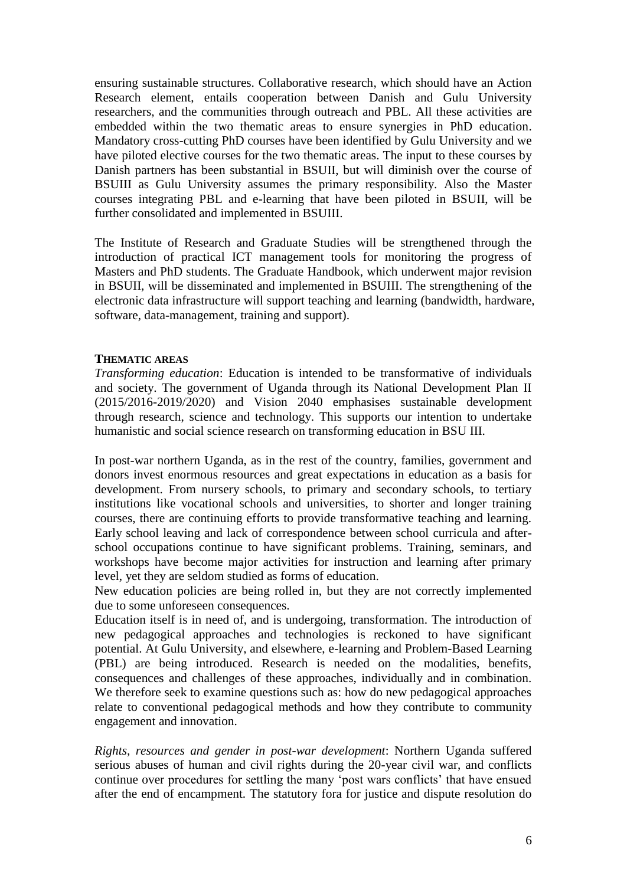ensuring sustainable structures. Collaborative research, which should have an Action Research element, entails cooperation between Danish and Gulu University researchers, and the communities through outreach and PBL. All these activities are embedded within the two thematic areas to ensure synergies in PhD education. Mandatory cross-cutting PhD courses have been identified by Gulu University and we have piloted elective courses for the two thematic areas. The input to these courses by Danish partners has been substantial in BSUII, but will diminish over the course of BSUIII as Gulu University assumes the primary responsibility. Also the Master courses integrating PBL and e-learning that have been piloted in BSUII, will be further consolidated and implemented in BSUIII.

The Institute of Research and Graduate Studies will be strengthened through the introduction of practical ICT management tools for monitoring the progress of Masters and PhD students. The Graduate Handbook, which underwent major revision in BSUII, will be disseminated and implemented in BSUIII. The strengthening of the electronic data infrastructure will support teaching and learning (bandwidth, hardware, software, data-management, training and support).

### **THEMATIC AREAS**

*Transforming education*: Education is intended to be transformative of individuals and society. The government of Uganda through its National Development Plan II (2015/2016-2019/2020) and Vision 2040 emphasises sustainable development through research, science and technology. This supports our intention to undertake humanistic and social science research on transforming education in BSU III.

In post-war northern Uganda, as in the rest of the country, families, government and donors invest enormous resources and great expectations in education as a basis for development. From nursery schools, to primary and secondary schools, to tertiary institutions like vocational schools and universities, to shorter and longer training courses, there are continuing efforts to provide transformative teaching and learning. Early school leaving and lack of correspondence between school curricula and afterschool occupations continue to have significant problems. Training, seminars, and workshops have become major activities for instruction and learning after primary level, yet they are seldom studied as forms of education.

New education policies are being rolled in, but they are not correctly implemented due to some unforeseen consequences.

Education itself is in need of, and is undergoing, transformation. The introduction of new pedagogical approaches and technologies is reckoned to have significant potential. At Gulu University, and elsewhere, e-learning and Problem-Based Learning (PBL) are being introduced. Research is needed on the modalities, benefits, consequences and challenges of these approaches, individually and in combination. We therefore seek to examine questions such as: how do new pedagogical approaches relate to conventional pedagogical methods and how they contribute to community engagement and innovation.

*Rights, resources and gender in post-war development*: Northern Uganda suffered serious abuses of human and civil rights during the 20-year civil war, and conflicts continue over procedures for settling the many 'post wars conflicts' that have ensued after the end of encampment. The statutory fora for justice and dispute resolution do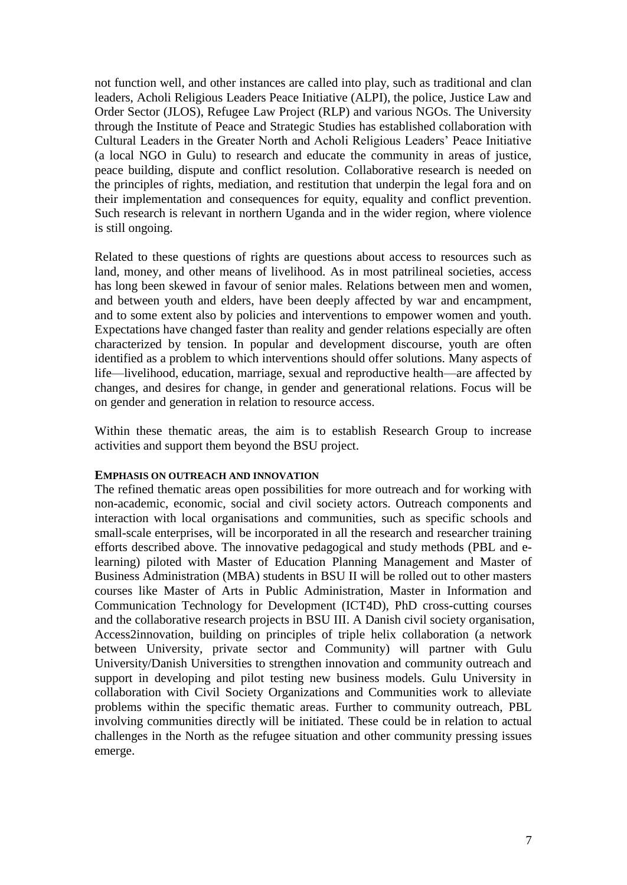not function well, and other instances are called into play, such as traditional and clan leaders, Acholi Religious Leaders Peace Initiative (ALPI), the police, Justice Law and Order Sector (JLOS), Refugee Law Project (RLP) and various NGOs. The University through the Institute of Peace and Strategic Studies has established collaboration with Cultural Leaders in the Greater North and Acholi Religious Leaders' Peace Initiative (a local NGO in Gulu) to research and educate the community in areas of justice, peace building, dispute and conflict resolution. Collaborative research is needed on the principles of rights, mediation, and restitution that underpin the legal fora and on their implementation and consequences for equity, equality and conflict prevention. Such research is relevant in northern Uganda and in the wider region, where violence is still ongoing.

Related to these questions of rights are questions about access to resources such as land, money, and other means of livelihood. As in most patrilineal societies, access has long been skewed in favour of senior males. Relations between men and women, and between youth and elders, have been deeply affected by war and encampment, and to some extent also by policies and interventions to empower women and youth. Expectations have changed faster than reality and gender relations especially are often characterized by tension. In popular and development discourse, youth are often identified as a problem to which interventions should offer solutions. Many aspects of life—livelihood, education, marriage, sexual and reproductive health—are affected by changes, and desires for change, in gender and generational relations. Focus will be on gender and generation in relation to resource access.

Within these thematic areas, the aim is to establish Research Group to increase activities and support them beyond the BSU project.

### **EMPHASIS ON OUTREACH AND INNOVATION**

The refined thematic areas open possibilities for more outreach and for working with non-academic, economic, social and civil society actors. Outreach components and interaction with local organisations and communities, such as specific schools and small-scale enterprises, will be incorporated in all the research and researcher training efforts described above. The innovative pedagogical and study methods (PBL and elearning) piloted with Master of Education Planning Management and Master of Business Administration (MBA) students in BSU II will be rolled out to other masters courses like Master of Arts in Public Administration, Master in Information and Communication Technology for Development (ICT4D), PhD cross-cutting courses and the collaborative research projects in BSU III. A Danish civil society organisation, Access2innovation, building on principles of triple helix collaboration (a network between University, private sector and Community) will partner with Gulu University/Danish Universities to strengthen innovation and community outreach and support in developing and pilot testing new business models. Gulu University in collaboration with Civil Society Organizations and Communities work to alleviate problems within the specific thematic areas. Further to community outreach, PBL involving communities directly will be initiated. These could be in relation to actual challenges in the North as the refugee situation and other community pressing issues emerge.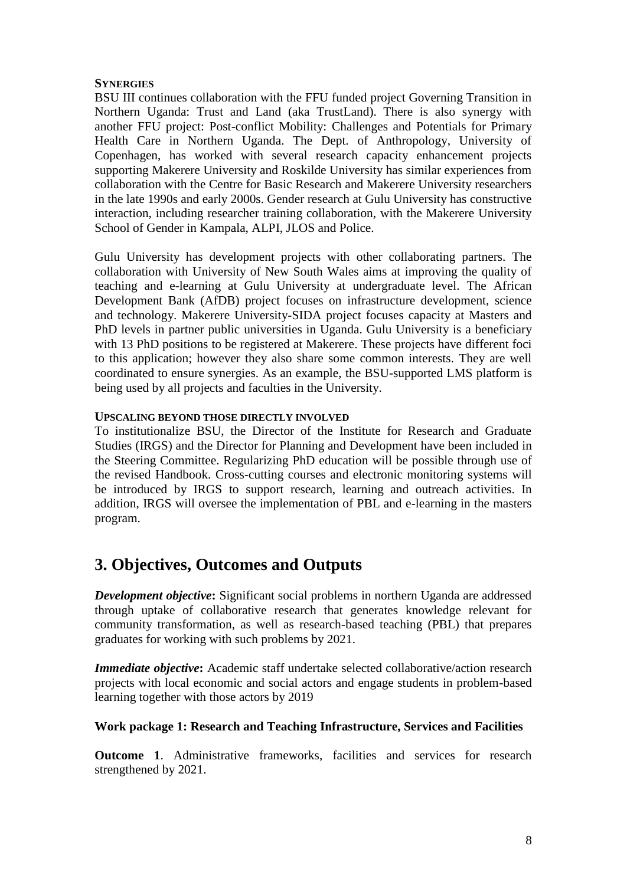### **SYNERGIES**

BSU III continues collaboration with the FFU funded project Governing Transition in Northern Uganda: Trust and Land (aka TrustLand). There is also synergy with another FFU project: Post-conflict Mobility: Challenges and Potentials for Primary Health Care in Northern Uganda. The Dept. of Anthropology, University of Copenhagen, has worked with several research capacity enhancement projects supporting Makerere University and Roskilde University has similar experiences from collaboration with the Centre for Basic Research and Makerere University researchers in the late 1990s and early 2000s. Gender research at Gulu University has constructive interaction, including researcher training collaboration, with the Makerere University School of Gender in Kampala, ALPI, JLOS and Police.

Gulu University has development projects with other collaborating partners. The collaboration with University of New South Wales aims at improving the quality of teaching and e-learning at Gulu University at undergraduate level. The African Development Bank (AfDB) project focuses on infrastructure development, science and technology. Makerere University-SIDA project focuses capacity at Masters and PhD levels in partner public universities in Uganda. Gulu University is a beneficiary with 13 PhD positions to be registered at Makerere. These projects have different foci to this application; however they also share some common interests. They are well coordinated to ensure synergies. As an example, the BSU-supported LMS platform is being used by all projects and faculties in the University.

### **UPSCALING BEYOND THOSE DIRECTLY INVOLVED**

To institutionalize BSU, the Director of the Institute for Research and Graduate Studies (IRGS) and the Director for Planning and Development have been included in the Steering Committee. Regularizing PhD education will be possible through use of the revised Handbook. Cross-cutting courses and electronic monitoring systems will be introduced by IRGS to support research, learning and outreach activities. In addition, IRGS will oversee the implementation of PBL and e-learning in the masters program.

# **3. Objectives, Outcomes and Outputs**

*Development objective*: Significant social problems in northern Uganda are addressed through uptake of collaborative research that generates knowledge relevant for community transformation, as well as research-based teaching (PBL) that prepares graduates for working with such problems by 2021.

*Immediate objective***:** Academic staff undertake selected collaborative/action research projects with local economic and social actors and engage students in problem-based learning together with those actors by 2019

### **Work package 1: Research and Teaching Infrastructure, Services and Facilities**

**Outcome 1**. Administrative frameworks, facilities and services for research strengthened by 2021.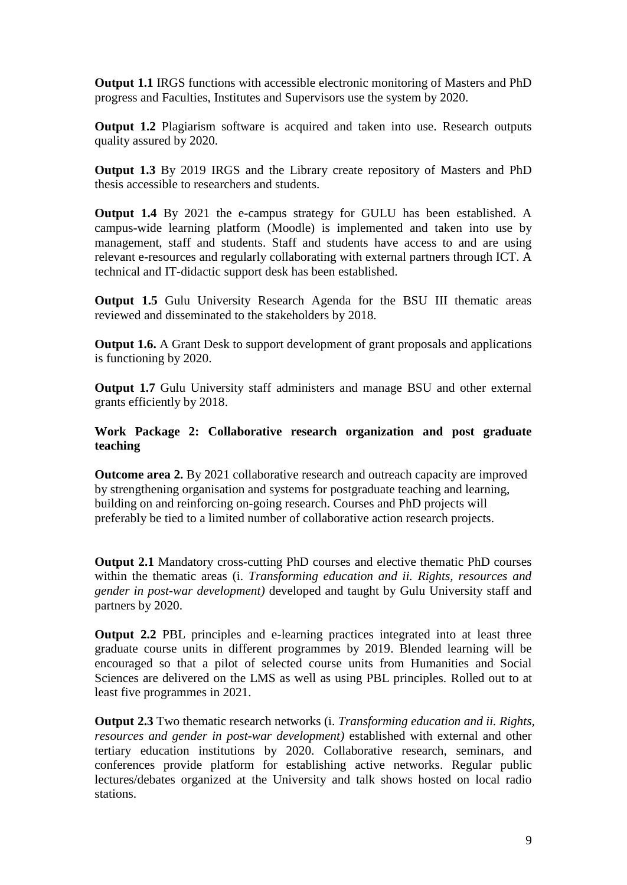**Output 1.1** IRGS functions with accessible electronic monitoring of Masters and PhD progress and Faculties, Institutes and Supervisors use the system by 2020.

**Output 1.2** Plagiarism software is acquired and taken into use. Research outputs quality assured by 2020.

**Output 1.3** By 2019 IRGS and the Library create repository of Masters and PhD thesis accessible to researchers and students.

**Output 1.4** By 2021 the e-campus strategy for GULU has been established. A campus-wide learning platform (Moodle) is implemented and taken into use by management, staff and students. Staff and students have access to and are using relevant e-resources and regularly collaborating with external partners through ICT. A technical and IT-didactic support desk has been established.

**Output 1.5** Gulu University Research Agenda for the BSU III thematic areas reviewed and disseminated to the stakeholders by 2018.

**Output 1.6.** A Grant Desk to support development of grant proposals and applications is functioning by 2020.

**Output 1.7** Gulu University staff administers and manage BSU and other external grants efficiently by 2018.

### **Work Package 2: Collaborative research organization and post graduate teaching**

**Outcome area 2.** By 2021 collaborative research and outreach capacity are improved by strengthening organisation and systems for postgraduate teaching and learning, building on and reinforcing on-going research. Courses and PhD projects will preferably be tied to a limited number of collaborative action research projects.

**Output 2.1** Mandatory cross-cutting PhD courses and elective thematic PhD courses within the thematic areas (i. *Transforming education and ii. Rights, resources and gender in post-war development)* developed and taught by Gulu University staff and partners by 2020.

**Output 2.2** PBL principles and e-learning practices integrated into at least three graduate course units in different programmes by 2019. Blended learning will be encouraged so that a pilot of selected course units from Humanities and Social Sciences are delivered on the LMS as well as using PBL principles. Rolled out to at least five programmes in 2021.

**Output 2.3** Two thematic research networks (i. *Transforming education and ii. Rights, resources and gender in post-war development)* established with external and other tertiary education institutions by 2020. Collaborative research, seminars, and conferences provide platform for establishing active networks. Regular public lectures/debates organized at the University and talk shows hosted on local radio stations.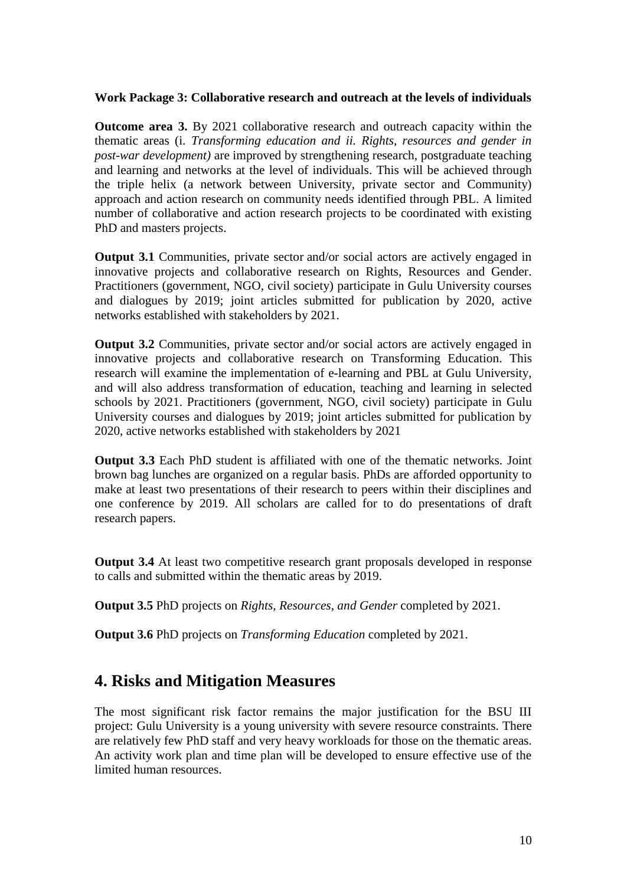### **Work Package 3: Collaborative research and outreach at the levels of individuals**

**Outcome area 3.** By 2021 collaborative research and outreach capacity within the thematic areas (i. *Transforming education and ii. Rights, resources and gender in post-war development)* are improved by strengthening research, postgraduate teaching and learning and networks at the level of individuals. This will be achieved through the triple helix (a network between University, private sector and Community) approach and action research on community needs identified through PBL. A limited number of collaborative and action research projects to be coordinated with existing PhD and masters projects.

**Output 3.1** Communities, private sector and/or social actors are actively engaged in innovative projects and collaborative research on Rights, Resources and Gender. Practitioners (government, NGO, civil society) participate in Gulu University courses and dialogues by 2019; joint articles submitted for publication by 2020, active networks established with stakeholders by 2021.

**Output 3.2** Communities, private sector and/or social actors are actively engaged in innovative projects and collaborative research on Transforming Education. This research will examine the implementation of e-learning and PBL at Gulu University, and will also address transformation of education, teaching and learning in selected schools by 2021. Practitioners (government, NGO, civil society) participate in Gulu University courses and dialogues by 2019; joint articles submitted for publication by 2020, active networks established with stakeholders by 2021

**Output 3.3** Each PhD student is affiliated with one of the thematic networks. Joint brown bag lunches are organized on a regular basis. PhDs are afforded opportunity to make at least two presentations of their research to peers within their disciplines and one conference by 2019. All scholars are called for to do presentations of draft research papers.

**Output 3.4** At least two competitive research grant proposals developed in response to calls and submitted within the thematic areas by 2019.

**Output 3.5** PhD projects on *Rights, Resources, and Gender* completed by 2021.

**Output 3.6** PhD projects on *Transforming Education* completed by 2021.

### **4. Risks and Mitigation Measures**

The most significant risk factor remains the major justification for the BSU III project: Gulu University is a young university with severe resource constraints. There are relatively few PhD staff and very heavy workloads for those on the thematic areas. An activity work plan and time plan will be developed to ensure effective use of the limited human resources.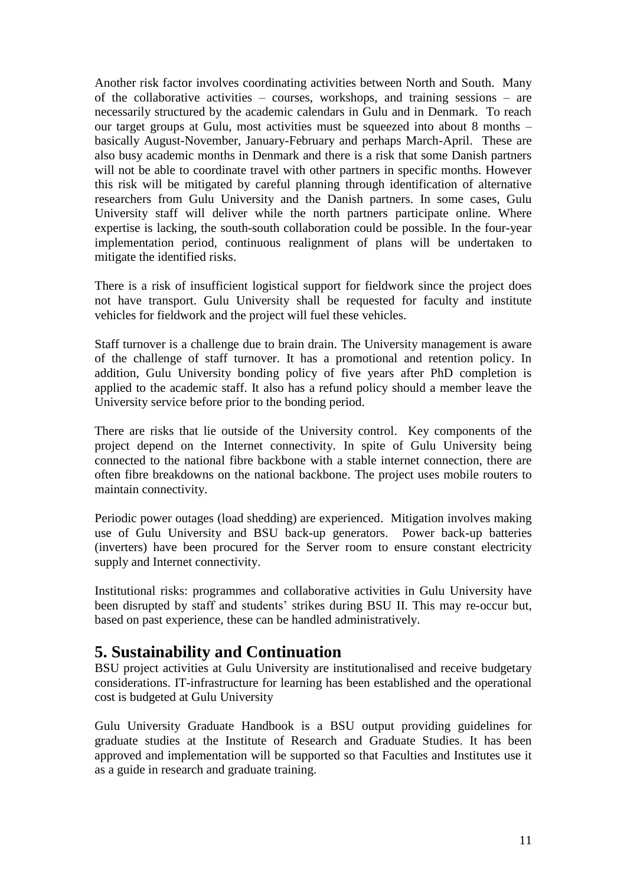Another risk factor involves coordinating activities between North and South. Many of the collaborative activities – courses, workshops, and training sessions – are necessarily structured by the academic calendars in Gulu and in Denmark. To reach our target groups at Gulu, most activities must be squeezed into about 8 months – basically August-November, January-February and perhaps March-April. These are also busy academic months in Denmark and there is a risk that some Danish partners will not be able to coordinate travel with other partners in specific months. However this risk will be mitigated by careful planning through identification of alternative researchers from Gulu University and the Danish partners. In some cases, Gulu University staff will deliver while the north partners participate online. Where expertise is lacking, the south-south collaboration could be possible. In the four-year implementation period, continuous realignment of plans will be undertaken to mitigate the identified risks.

There is a risk of insufficient logistical support for fieldwork since the project does not have transport. Gulu University shall be requested for faculty and institute vehicles for fieldwork and the project will fuel these vehicles.

Staff turnover is a challenge due to brain drain. The University management is aware of the challenge of staff turnover. It has a promotional and retention policy. In addition, Gulu University bonding policy of five years after PhD completion is applied to the academic staff. It also has a refund policy should a member leave the University service before prior to the bonding period.

There are risks that lie outside of the University control. Key components of the project depend on the Internet connectivity. In spite of Gulu University being connected to the national fibre backbone with a stable internet connection, there are often fibre breakdowns on the national backbone. The project uses mobile routers to maintain connectivity.

Periodic power outages (load shedding) are experienced. Mitigation involves making use of Gulu University and BSU back-up generators. Power back-up batteries (inverters) have been procured for the Server room to ensure constant electricity supply and Internet connectivity.

Institutional risks: programmes and collaborative activities in Gulu University have been disrupted by staff and students' strikes during BSU II. This may re-occur but, based on past experience, these can be handled administratively.

# **5. Sustainability and Continuation**

BSU project activities at Gulu University are institutionalised and receive budgetary considerations. IT-infrastructure for learning has been established and the operational cost is budgeted at Gulu University

Gulu University Graduate Handbook is a BSU output providing guidelines for graduate studies at the Institute of Research and Graduate Studies. It has been approved and implementation will be supported so that Faculties and Institutes use it as a guide in research and graduate training.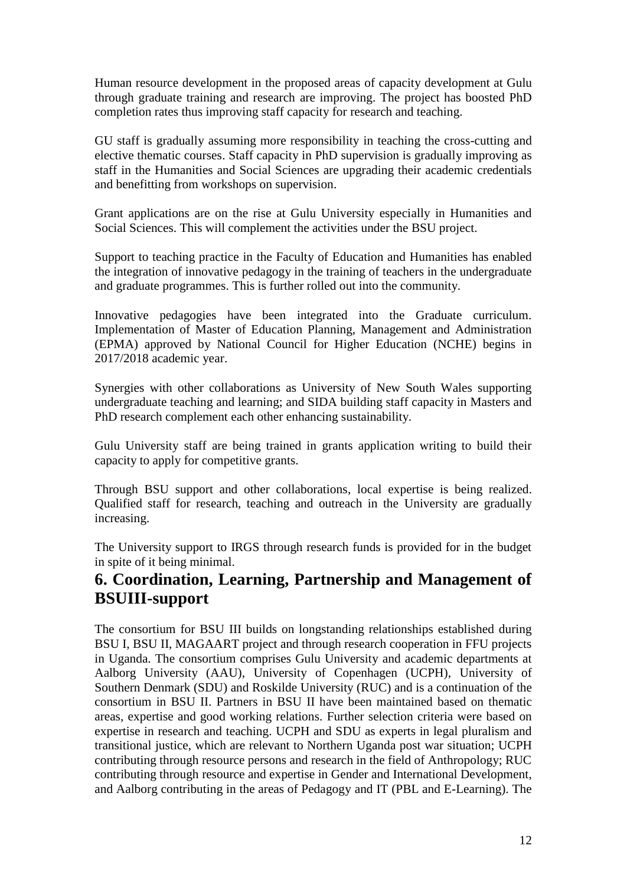Human resource development in the proposed areas of capacity development at Gulu through graduate training and research are improving. The project has boosted PhD completion rates thus improving staff capacity for research and teaching.

GU staff is gradually assuming more responsibility in teaching the cross-cutting and elective thematic courses. Staff capacity in PhD supervision is gradually improving as staff in the Humanities and Social Sciences are upgrading their academic credentials and benefitting from workshops on supervision.

Grant applications are on the rise at Gulu University especially in Humanities and Social Sciences. This will complement the activities under the BSU project.

Support to teaching practice in the Faculty of Education and Humanities has enabled the integration of innovative pedagogy in the training of teachers in the undergraduate and graduate programmes. This is further rolled out into the community.

Innovative pedagogies have been integrated into the Graduate curriculum. Implementation of Master of Education Planning, Management and Administration (EPMA) approved by National Council for Higher Education (NCHE) begins in 2017/2018 academic year.

Synergies with other collaborations as University of New South Wales supporting undergraduate teaching and learning; and SIDA building staff capacity in Masters and PhD research complement each other enhancing sustainability.

Gulu University staff are being trained in grants application writing to build their capacity to apply for competitive grants.

Through BSU support and other collaborations, local expertise is being realized. Qualified staff for research, teaching and outreach in the University are gradually increasing.

The University support to IRGS through research funds is provided for in the budget in spite of it being minimal.

# **6. Coordination, Learning, Partnership and Management of BSUIII-support**

The consortium for BSU III builds on longstanding relationships established during BSU I, BSU II, MAGAART project and through research cooperation in FFU projects in Uganda. The consortium comprises Gulu University and academic departments at Aalborg University (AAU), University of Copenhagen (UCPH), University of Southern Denmark (SDU) and Roskilde University (RUC) and is a continuation of the consortium in BSU II. Partners in BSU II have been maintained based on thematic areas, expertise and good working relations. Further selection criteria were based on expertise in research and teaching. UCPH and SDU as experts in legal pluralism and transitional justice, which are relevant to Northern Uganda post war situation; UCPH contributing through resource persons and research in the field of Anthropology; RUC contributing through resource and expertise in Gender and International Development, and Aalborg contributing in the areas of Pedagogy and IT (PBL and E-Learning). The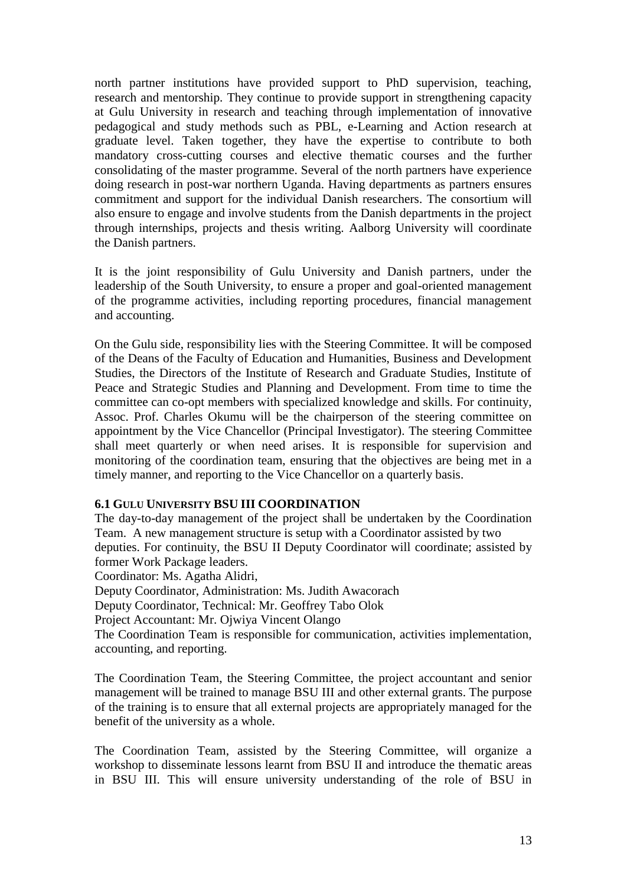north partner institutions have provided support to PhD supervision, teaching, research and mentorship. They continue to provide support in strengthening capacity at Gulu University in research and teaching through implementation of innovative pedagogical and study methods such as PBL, e-Learning and Action research at graduate level. Taken together, they have the expertise to contribute to both mandatory cross-cutting courses and elective thematic courses and the further consolidating of the master programme. Several of the north partners have experience doing research in post-war northern Uganda. Having departments as partners ensures commitment and support for the individual Danish researchers. The consortium will also ensure to engage and involve students from the Danish departments in the project through internships, projects and thesis writing. Aalborg University will coordinate the Danish partners.

It is the joint responsibility of Gulu University and Danish partners, under the leadership of the South University, to ensure a proper and goal-oriented management of the programme activities, including reporting procedures, financial management and accounting.

On the Gulu side, responsibility lies with the Steering Committee. It will be composed of the Deans of the Faculty of Education and Humanities, Business and Development Studies, the Directors of the Institute of Research and Graduate Studies, Institute of Peace and Strategic Studies and Planning and Development. From time to time the committee can co-opt members with specialized knowledge and skills. For continuity, Assoc. Prof. Charles Okumu will be the chairperson of the steering committee on appointment by the Vice Chancellor (Principal Investigator). The steering Committee shall meet quarterly or when need arises. It is responsible for supervision and monitoring of the coordination team, ensuring that the objectives are being met in a timely manner, and reporting to the Vice Chancellor on a quarterly basis.

### **6.1 GULU UNIVERSITY BSU III COORDINATION**

The day-to-day management of the project shall be undertaken by the Coordination Team. A new management structure is setup with a Coordinator assisted by two deputies. For continuity, the BSU II Deputy Coordinator will coordinate; assisted by former Work Package leaders.

Coordinator: Ms. Agatha Alidri,

Deputy Coordinator, Administration: Ms. Judith Awacorach

Deputy Coordinator, Technical: Mr. Geoffrey Tabo Olok

Project Accountant: Mr. Ojwiya Vincent Olango

The Coordination Team is responsible for communication, activities implementation, accounting, and reporting.

The Coordination Team, the Steering Committee, the project accountant and senior management will be trained to manage BSU III and other external grants. The purpose of the training is to ensure that all external projects are appropriately managed for the benefit of the university as a whole.

The Coordination Team, assisted by the Steering Committee, will organize a workshop to disseminate lessons learnt from BSU II and introduce the thematic areas in BSU III. This will ensure university understanding of the role of BSU in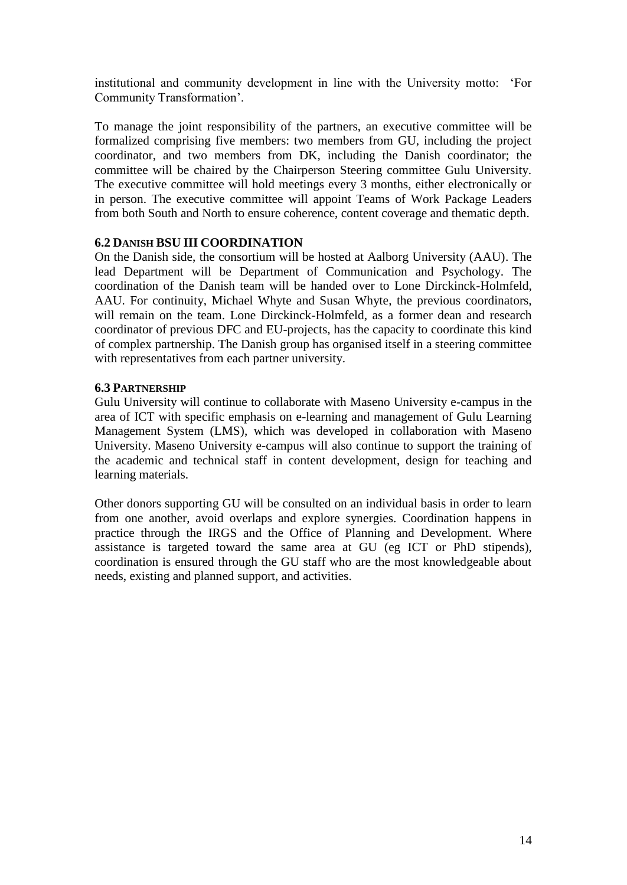institutional and community development in line with the University motto: 'For Community Transformation'.

To manage the joint responsibility of the partners, an executive committee will be formalized comprising five members: two members from GU, including the project coordinator, and two members from DK, including the Danish coordinator; the committee will be chaired by the Chairperson Steering committee Gulu University. The executive committee will hold meetings every 3 months, either electronically or in person. The executive committee will appoint Teams of Work Package Leaders from both South and North to ensure coherence, content coverage and thematic depth.

### **6.2 DANISH BSU III COORDINATION**

On the Danish side, the consortium will be hosted at Aalborg University (AAU). The lead Department will be Department of Communication and Psychology. The coordination of the Danish team will be handed over to Lone Dirckinck-Holmfeld, AAU. For continuity, Michael Whyte and Susan Whyte, the previous coordinators, will remain on the team. Lone Dirckinck-Holmfeld, as a former dean and research coordinator of previous DFC and EU-projects, has the capacity to coordinate this kind of complex partnership. The Danish group has organised itself in a steering committee with representatives from each partner university.

### **6.3 PARTNERSHIP**

Gulu University will continue to collaborate with Maseno University e-campus in the area of ICT with specific emphasis on e-learning and management of Gulu Learning Management System (LMS), which was developed in collaboration with Maseno University. Maseno University e-campus will also continue to support the training of the academic and technical staff in content development, design for teaching and learning materials.

Other donors supporting GU will be consulted on an individual basis in order to learn from one another, avoid overlaps and explore synergies. Coordination happens in practice through the IRGS and the Office of Planning and Development. Where assistance is targeted toward the same area at GU (eg ICT or PhD stipends), coordination is ensured through the GU staff who are the most knowledgeable about needs, existing and planned support, and activities.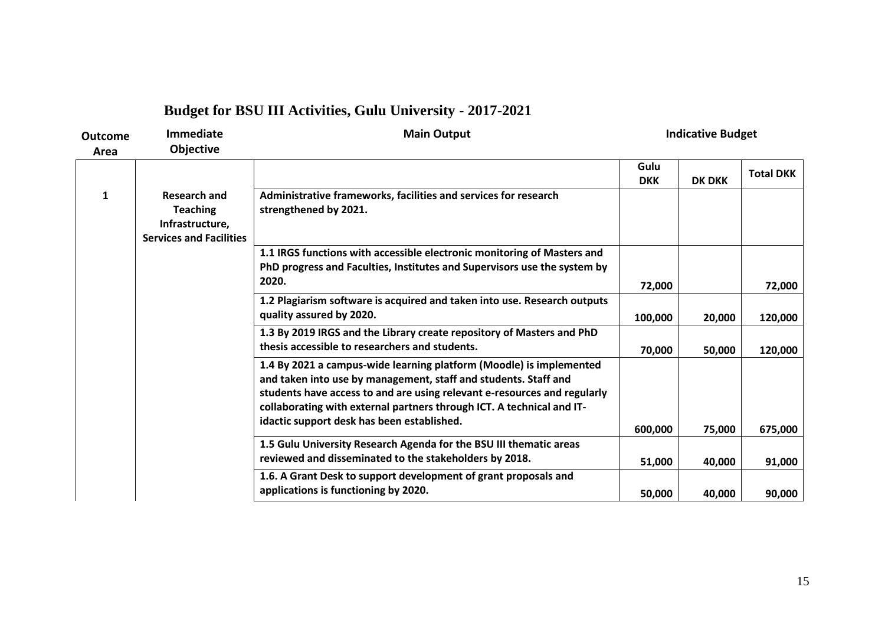# **Budget for BSU III Activities, Gulu University - 2017-2021**

| Outcome<br>Area | <b>Immediate</b><br>Objective                                                               | <b>Main Output</b>                                                                                                                                                                                                                                                                                                                        |                    | <b>Indicative Budget</b> |                  |
|-----------------|---------------------------------------------------------------------------------------------|-------------------------------------------------------------------------------------------------------------------------------------------------------------------------------------------------------------------------------------------------------------------------------------------------------------------------------------------|--------------------|--------------------------|------------------|
|                 |                                                                                             |                                                                                                                                                                                                                                                                                                                                           | Gulu<br><b>DKK</b> | <b>DK DKK</b>            | <b>Total DKK</b> |
| 1               | <b>Research and</b><br><b>Teaching</b><br>Infrastructure,<br><b>Services and Facilities</b> | Administrative frameworks, facilities and services for research<br>strengthened by 2021.                                                                                                                                                                                                                                                  |                    |                          |                  |
|                 |                                                                                             | 1.1 IRGS functions with accessible electronic monitoring of Masters and<br>PhD progress and Faculties, Institutes and Supervisors use the system by<br>2020.                                                                                                                                                                              | 72,000             |                          | 72,000           |
|                 |                                                                                             | 1.2 Plagiarism software is acquired and taken into use. Research outputs<br>quality assured by 2020.                                                                                                                                                                                                                                      | 100,000            | 20,000                   | 120,000          |
|                 |                                                                                             | 1.3 By 2019 IRGS and the Library create repository of Masters and PhD<br>thesis accessible to researchers and students.                                                                                                                                                                                                                   | 70,000             | 50,000                   | 120,000          |
|                 |                                                                                             | 1.4 By 2021 a campus-wide learning platform (Moodle) is implemented<br>and taken into use by management, staff and students. Staff and<br>students have access to and are using relevant e-resources and regularly<br>collaborating with external partners through ICT. A technical and IT-<br>idactic support desk has been established. | 600,000            | 75,000                   | 675,000          |
|                 |                                                                                             | 1.5 Gulu University Research Agenda for the BSU III thematic areas<br>reviewed and disseminated to the stakeholders by 2018.                                                                                                                                                                                                              | 51,000             | 40,000                   | 91,000           |
|                 |                                                                                             | 1.6. A Grant Desk to support development of grant proposals and<br>applications is functioning by 2020.                                                                                                                                                                                                                                   | 50,000             | 40,000                   | 90,000           |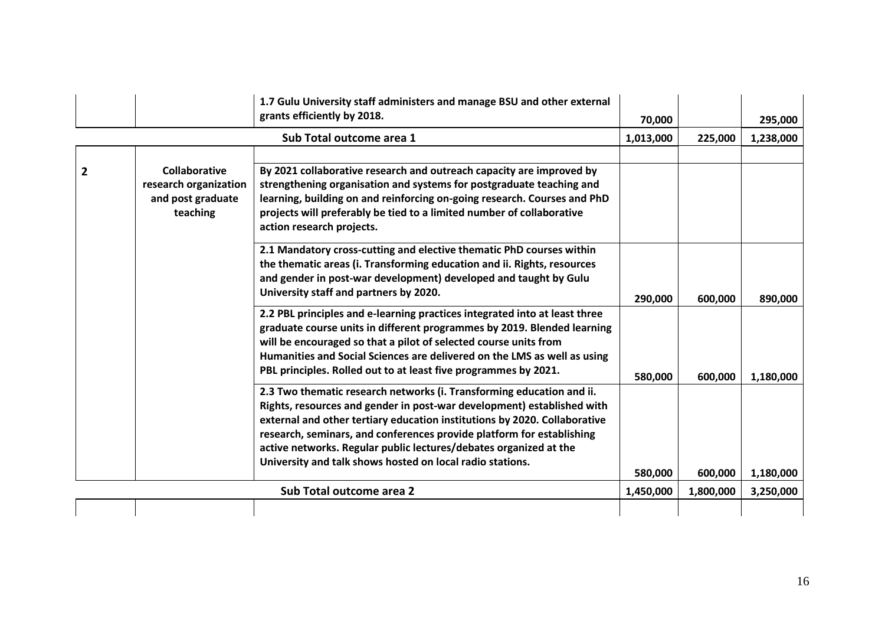|                          |                                                                                | 1.7 Gulu University staff administers and manage BSU and other external<br>grants efficiently by 2018.                                                                                                                                                                                                                                                                                                                                  | 70,000               |                      | 295,000                |
|--------------------------|--------------------------------------------------------------------------------|-----------------------------------------------------------------------------------------------------------------------------------------------------------------------------------------------------------------------------------------------------------------------------------------------------------------------------------------------------------------------------------------------------------------------------------------|----------------------|----------------------|------------------------|
| Sub Total outcome area 1 |                                                                                |                                                                                                                                                                                                                                                                                                                                                                                                                                         |                      | 225,000              | 1,238,000              |
| $\mathbf{2}$             | <b>Collaborative</b><br>research organization<br>and post graduate<br>teaching | By 2021 collaborative research and outreach capacity are improved by<br>strengthening organisation and systems for postgraduate teaching and<br>learning, building on and reinforcing on-going research. Courses and PhD<br>projects will preferably be tied to a limited number of collaborative<br>action research projects.                                                                                                          |                      |                      |                        |
|                          |                                                                                | 2.1 Mandatory cross-cutting and elective thematic PhD courses within<br>the thematic areas (i. Transforming education and ii. Rights, resources<br>and gender in post-war development) developed and taught by Gulu<br>University staff and partners by 2020.                                                                                                                                                                           | 290,000              | 600,000              | 890,000                |
|                          |                                                                                | 2.2 PBL principles and e-learning practices integrated into at least three<br>graduate course units in different programmes by 2019. Blended learning<br>will be encouraged so that a pilot of selected course units from<br>Humanities and Social Sciences are delivered on the LMS as well as using<br>PBL principles. Rolled out to at least five programmes by 2021.                                                                | 580,000              | 600,000              | 1,180,000              |
|                          |                                                                                | 2.3 Two thematic research networks (i. Transforming education and ii.<br>Rights, resources and gender in post-war development) established with<br>external and other tertiary education institutions by 2020. Collaborative<br>research, seminars, and conferences provide platform for establishing<br>active networks. Regular public lectures/debates organized at the<br>University and talk shows hosted on local radio stations. |                      |                      |                        |
|                          |                                                                                | Sub Total outcome area 2                                                                                                                                                                                                                                                                                                                                                                                                                | 580,000<br>1,450,000 | 600,000<br>1,800,000 | 1,180,000<br>3,250,000 |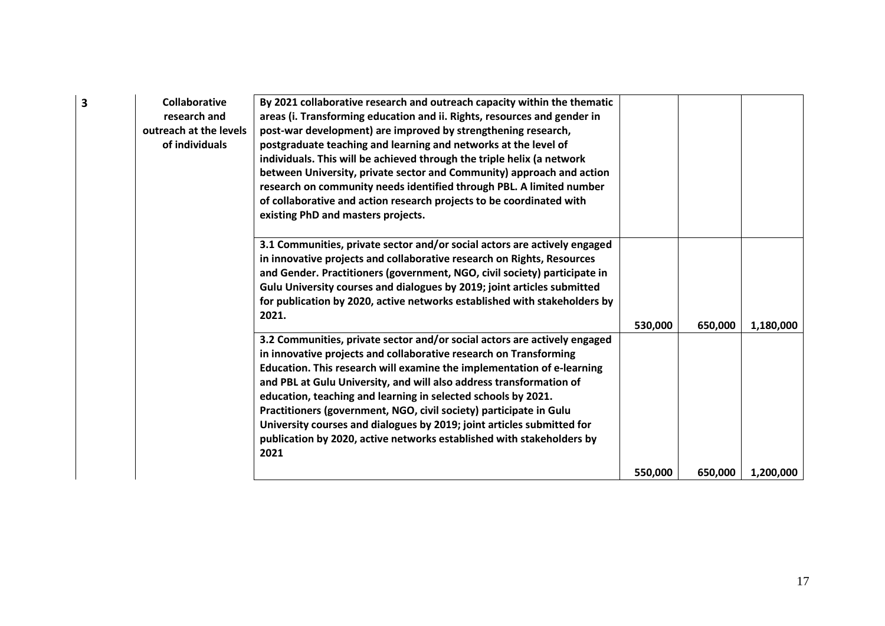| 3 | <b>Collaborative</b><br>research and<br>outreach at the levels<br>of individuals | By 2021 collaborative research and outreach capacity within the thematic<br>areas (i. Transforming education and ii. Rights, resources and gender in<br>post-war development) are improved by strengthening research,<br>postgraduate teaching and learning and networks at the level of<br>individuals. This will be achieved through the triple helix (a network<br>between University, private sector and Community) approach and action<br>research on community needs identified through PBL. A limited number<br>of collaborative and action research projects to be coordinated with<br>existing PhD and masters projects. |         |         |           |
|---|----------------------------------------------------------------------------------|-----------------------------------------------------------------------------------------------------------------------------------------------------------------------------------------------------------------------------------------------------------------------------------------------------------------------------------------------------------------------------------------------------------------------------------------------------------------------------------------------------------------------------------------------------------------------------------------------------------------------------------|---------|---------|-----------|
|   |                                                                                  | 3.1 Communities, private sector and/or social actors are actively engaged<br>in innovative projects and collaborative research on Rights, Resources<br>and Gender. Practitioners (government, NGO, civil society) participate in<br>Gulu University courses and dialogues by 2019; joint articles submitted<br>for publication by 2020, active networks established with stakeholders by<br>2021.                                                                                                                                                                                                                                 | 530,000 | 650,000 | 1,180,000 |
|   |                                                                                  | 3.2 Communities, private sector and/or social actors are actively engaged<br>in innovative projects and collaborative research on Transforming<br>Education. This research will examine the implementation of e-learning<br>and PBL at Gulu University, and will also address transformation of<br>education, teaching and learning in selected schools by 2021.<br>Practitioners (government, NGO, civil society) participate in Gulu<br>University courses and dialogues by 2019; joint articles submitted for<br>publication by 2020, active networks established with stakeholders by<br>2021                                 |         |         |           |
|   |                                                                                  |                                                                                                                                                                                                                                                                                                                                                                                                                                                                                                                                                                                                                                   | 550,000 | 650,000 | 1,200,000 |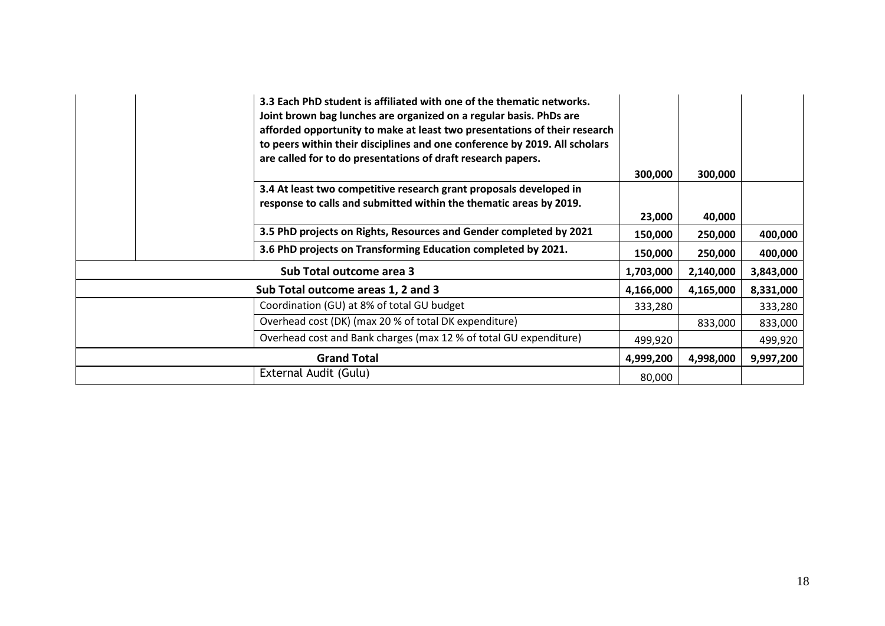|                    |                          | 3.3 Each PhD student is affiliated with one of the thematic networks.<br>Joint brown bag lunches are organized on a regular basis. PhDs are<br>afforded opportunity to make at least two presentations of their research<br>to peers within their disciplines and one conference by 2019. All scholars<br>are called for to do presentations of draft research papers. |           |           |           |
|--------------------|--------------------------|------------------------------------------------------------------------------------------------------------------------------------------------------------------------------------------------------------------------------------------------------------------------------------------------------------------------------------------------------------------------|-----------|-----------|-----------|
|                    |                          | 3.4 At least two competitive research grant proposals developed in<br>response to calls and submitted within the thematic areas by 2019.                                                                                                                                                                                                                               | 300,000   | 300,000   |           |
|                    |                          |                                                                                                                                                                                                                                                                                                                                                                        | 23,000    | 40,000    |           |
|                    |                          | 3.5 PhD projects on Rights, Resources and Gender completed by 2021                                                                                                                                                                                                                                                                                                     | 150,000   | 250,000   | 400,000   |
|                    |                          | 3.6 PhD projects on Transforming Education completed by 2021.                                                                                                                                                                                                                                                                                                          | 150,000   | 250,000   | 400,000   |
|                    | Sub Total outcome area 3 |                                                                                                                                                                                                                                                                                                                                                                        |           |           | 3,843,000 |
|                    |                          | Sub Total outcome areas 1, 2 and 3                                                                                                                                                                                                                                                                                                                                     | 4,166,000 | 4,165,000 | 8,331,000 |
|                    |                          | Coordination (GU) at 8% of total GU budget                                                                                                                                                                                                                                                                                                                             | 333,280   |           | 333,280   |
|                    |                          | Overhead cost (DK) (max 20 % of total DK expenditure)                                                                                                                                                                                                                                                                                                                  |           | 833,000   | 833,000   |
|                    |                          | Overhead cost and Bank charges (max 12 % of total GU expenditure)                                                                                                                                                                                                                                                                                                      | 499,920   |           | 499,920   |
| <b>Grand Total</b> |                          |                                                                                                                                                                                                                                                                                                                                                                        | 4,999,200 | 4,998,000 | 9,997,200 |
|                    |                          | External Audit (Gulu)                                                                                                                                                                                                                                                                                                                                                  | 80,000    |           |           |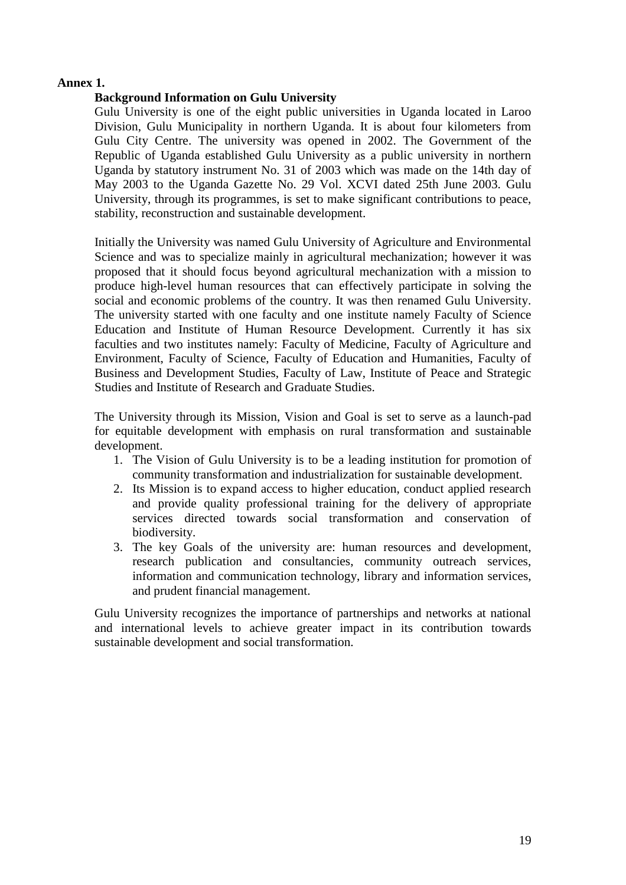### **Annex 1.**

### **Background Information on Gulu University**

Gulu University is one of the eight public universities in Uganda located in Laroo Division, Gulu Municipality in northern Uganda. It is about four kilometers from Gulu City Centre. The university was opened in 2002. The Government of the Republic of Uganda established Gulu University as a public university in northern Uganda by statutory instrument No. 31 of 2003 which was made on the 14th day of May 2003 to the Uganda Gazette No. 29 Vol. XCVI dated 25th June 2003. Gulu University, through its programmes, is set to make significant contributions to peace, stability, reconstruction and sustainable development.

Initially the University was named Gulu University of Agriculture and Environmental Science and was to specialize mainly in agricultural mechanization; however it was proposed that it should focus beyond agricultural mechanization with a mission to produce high-level human resources that can effectively participate in solving the social and economic problems of the country. It was then renamed Gulu University. The university started with one faculty and one institute namely Faculty of Science Education and Institute of Human Resource Development. Currently it has six faculties and two institutes namely: Faculty of Medicine, Faculty of Agriculture and Environment, Faculty of Science, Faculty of Education and Humanities, Faculty of Business and Development Studies, Faculty of Law, Institute of Peace and Strategic Studies and Institute of Research and Graduate Studies.

The University through its Mission, Vision and Goal is set to serve as a launch-pad for equitable development with emphasis on rural transformation and sustainable development.

- 1. The Vision of Gulu University is to be a leading institution for promotion of community transformation and industrialization for sustainable development.
- 2. Its Mission is to expand access to higher education, conduct applied research and provide quality professional training for the delivery of appropriate services directed towards social transformation and conservation of biodiversity.
- 3. The key Goals of the university are: human resources and development, research publication and consultancies, community outreach services, information and communication technology, library and information services, and prudent financial management.

Gulu University recognizes the importance of partnerships and networks at national and international levels to achieve greater impact in its contribution towards sustainable development and social transformation.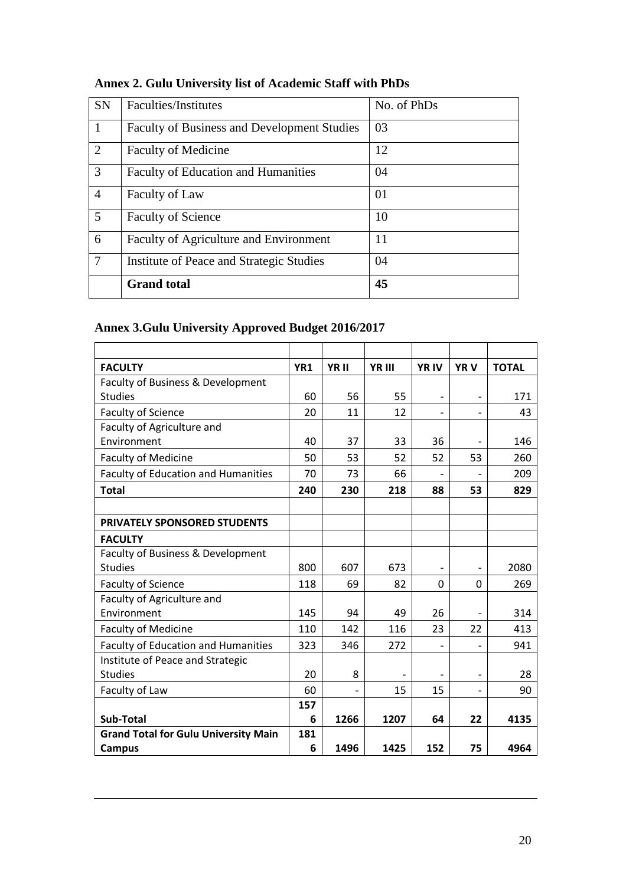| <b>SN</b>      | Faculties/Institutes                               | No. of PhDs |
|----------------|----------------------------------------------------|-------------|
|                | <b>Faculty of Business and Development Studies</b> | 03          |
| $\overline{2}$ | <b>Faculty of Medicine</b>                         | 12          |
| 3              | <b>Faculty of Education and Humanities</b>         | 04          |
| $\overline{4}$ | Faculty of Law                                     | 01          |
| 5              | <b>Faculty of Science</b>                          | 10          |
| 6              | Faculty of Agriculture and Environment             | 11          |
| $\tau$         | Institute of Peace and Strategic Studies           | 04          |
|                | <b>Grand</b> total                                 | 45          |

# **Annex 2. Gulu University list of Academic Staff with PhDs**

### **Annex 3.Gulu University Approved Budget 2016/2017**

| <b>FACULTY</b>                              | YR1 | YR II | YR III | <b>YRIV</b>              | <b>YRV</b> | <b>TOTAL</b> |
|---------------------------------------------|-----|-------|--------|--------------------------|------------|--------------|
| Faculty of Business & Development           |     |       |        |                          |            |              |
| <b>Studies</b>                              | 60  | 56    | 55     | $\overline{\phantom{0}}$ |            | 171          |
| <b>Faculty of Science</b>                   | 20  | 11    | 12     | $\overline{\phantom{0}}$ |            | 43           |
| Faculty of Agriculture and                  |     |       |        |                          |            |              |
| Environment                                 | 40  | 37    | 33     | 36                       |            | 146          |
| <b>Faculty of Medicine</b>                  | 50  | 53    | 52     | 52                       | 53         | 260          |
| <b>Faculty of Education and Humanities</b>  | 70  | 73    | 66     | $\overline{\phantom{0}}$ |            | 209          |
| <b>Total</b>                                | 240 | 230   | 218    | 88                       | 53         | 829          |
|                                             |     |       |        |                          |            |              |
| <b>PRIVATELY SPONSORED STUDENTS</b>         |     |       |        |                          |            |              |
| <b>FACULTY</b>                              |     |       |        |                          |            |              |
| Faculty of Business & Development           |     |       |        |                          |            |              |
| <b>Studies</b>                              | 800 | 607   | 673    | $\overline{a}$           |            | 2080         |
| <b>Faculty of Science</b>                   | 118 | 69    | 82     | 0                        | $\Omega$   | 269          |
| Faculty of Agriculture and                  |     |       |        |                          |            |              |
| Environment                                 | 145 | 94    | 49     | 26                       |            | 314          |
| <b>Faculty of Medicine</b>                  | 110 | 142   | 116    | 23                       | 22         | 413          |
| <b>Faculty of Education and Humanities</b>  | 323 | 346   | 272    | $\overline{a}$           |            | 941          |
| Institute of Peace and Strategic            |     |       |        |                          |            |              |
| <b>Studies</b>                              | 20  | 8     |        |                          |            | 28           |
| Faculty of Law                              | 60  |       | 15     | 15                       |            | 90           |
|                                             | 157 |       |        |                          |            |              |
| Sub-Total                                   | 6   | 1266  | 1207   | 64                       | 22         | 4135         |
| <b>Grand Total for Gulu University Main</b> | 181 |       |        |                          |            |              |
| Campus                                      | 6   | 1496  | 1425   | 152                      | 75         | 4964         |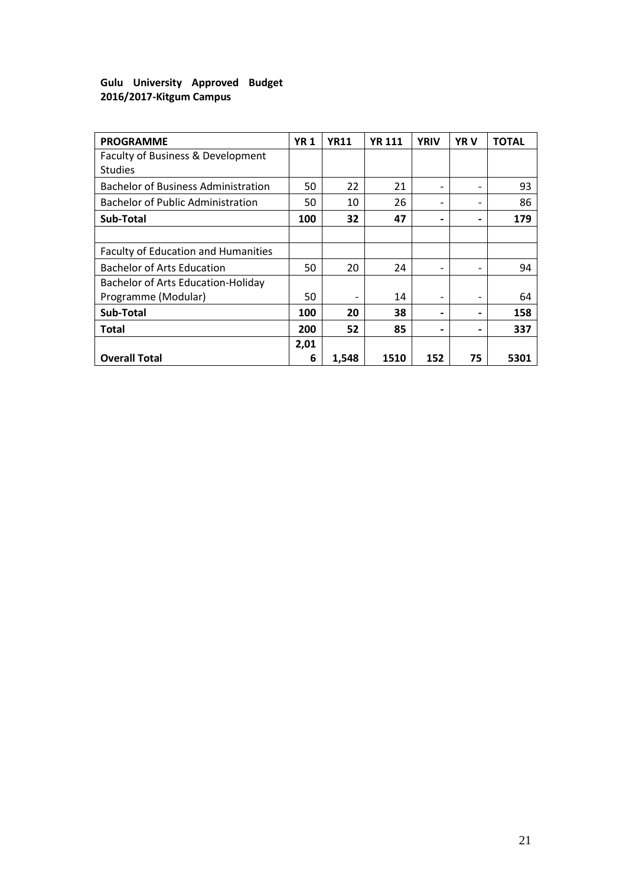### **Gulu University Approved Budget 2016/2017-Kitgum Campus**

| <b>PROGRAMME</b>                                    | <b>YR1</b> | <b>YR11</b> | <b>YR 111</b> | <b>YRIV</b>                  | <b>YRV</b> | <b>TOTAL</b> |
|-----------------------------------------------------|------------|-------------|---------------|------------------------------|------------|--------------|
| Faculty of Business & Development<br><b>Studies</b> |            |             |               |                              |            |              |
| <b>Bachelor of Business Administration</b>          | 50         | 22          | 21            | $\qquad \qquad \blacksquare$ |            | 93           |
| <b>Bachelor of Public Administration</b>            | 50         | 10          | 26            | $\qquad \qquad \blacksquare$ |            | 86           |
| Sub-Total                                           | 100        | 32          | 47            | $\overline{\phantom{0}}$     |            | 179          |
|                                                     |            |             |               |                              |            |              |
| Faculty of Education and Humanities                 |            |             |               |                              |            |              |
| <b>Bachelor of Arts Education</b>                   | 50         | 20          | 24            | $\qquad \qquad \blacksquare$ |            | 94           |
| <b>Bachelor of Arts Education-Holiday</b>           |            |             |               |                              |            |              |
| Programme (Modular)                                 | 50         |             | 14            | $\qquad \qquad \blacksquare$ |            | 64           |
| Sub-Total                                           | 100        | 20          | 38            | $\overline{\phantom{0}}$     |            | 158          |
| <b>Total</b>                                        | 200        | 52          | 85            | $\overline{\phantom{a}}$     |            | 337          |
|                                                     | 2,01       |             |               |                              |            |              |
| <b>Overall Total</b>                                | 6          | 1,548       | 1510          | 152                          | 75         | 5301         |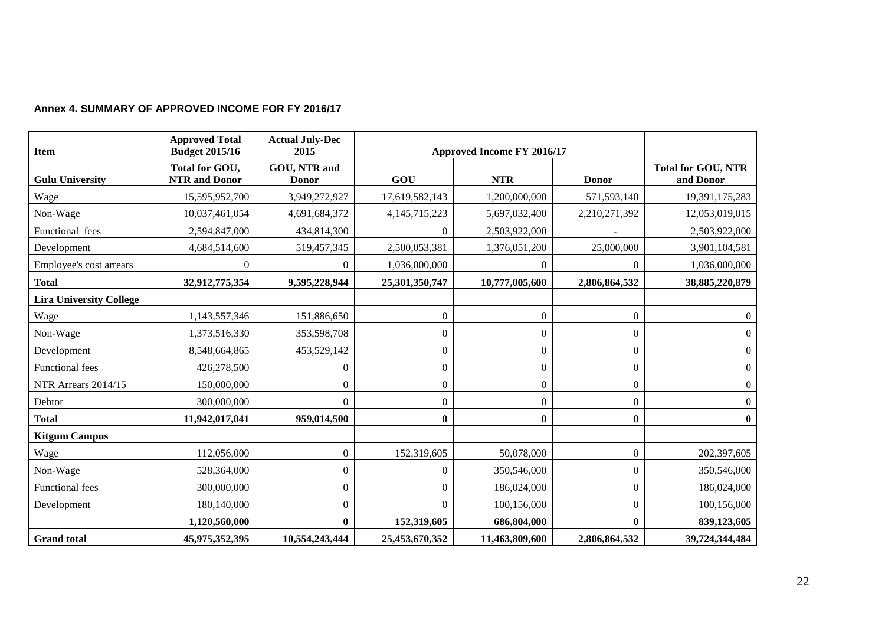### **Annex 4. SUMMARY OF APPROVED INCOME FOR FY 2016/17**

| <b>Item</b>                    | <b>Approved Total</b><br><b>Budget 2015/16</b> | <b>Actual July-Dec</b><br>2015 |                  | Approved Income FY 2016/17 |                  |                                        |
|--------------------------------|------------------------------------------------|--------------------------------|------------------|----------------------------|------------------|----------------------------------------|
| <b>Gulu University</b>         | Total for GOU,<br><b>NTR</b> and Donor         | GOU, NTR and<br><b>Donor</b>   | GOU              | <b>NTR</b>                 | <b>Donor</b>     | <b>Total for GOU, NTR</b><br>and Donor |
| Wage                           | 15,595,952,700                                 | 3,949,272,927                  | 17,619,582,143   | 1,200,000,000              | 571,593,140      | 19,391,175,283                         |
| Non-Wage                       | 10,037,461,054                                 | 4,691,684,372                  | 4, 145, 715, 223 | 5,697,032,400              | 2,210,271,392    | 12,053,019,015                         |
| Functional fees                | 2,594,847,000                                  | 434,814,300                    | $\Omega$         | 2,503,922,000              |                  | 2,503,922,000                          |
| Development                    | 4,684,514,600                                  | 519,457,345                    | 2,500,053,381    | 1,376,051,200              | 25,000,000       | 3,901,104,581                          |
| Employee's cost arrears        | $\theta$                                       | $\theta$                       | 1,036,000,000    | 0                          | $\theta$         | 1,036,000,000                          |
| <b>Total</b>                   | 32,912,775,354                                 | 9,595,228,944                  | 25,301,350,747   | 10,777,005,600             | 2,806,864,532    | 38,885,220,879                         |
| <b>Lira University College</b> |                                                |                                |                  |                            |                  |                                        |
| Wage                           | 1,143,557,346                                  | 151,886,650                    | $\Omega$         | $\overline{0}$             | $\boldsymbol{0}$ | $\overline{0}$                         |
| Non-Wage                       | 1,373,516,330                                  | 353,598,708                    | $\Omega$         | $\boldsymbol{0}$           | $\boldsymbol{0}$ | $\overline{0}$                         |
| Development                    | 8,548,664,865                                  | 453,529,142                    | $\boldsymbol{0}$ | $\boldsymbol{0}$           | $\boldsymbol{0}$ | $\boldsymbol{0}$                       |
| <b>Functional</b> fees         | 426,278,500                                    | $\Omega$                       | $\boldsymbol{0}$ | $\boldsymbol{0}$           | $\boldsymbol{0}$ | $\boldsymbol{0}$                       |
| NTR Arrears 2014/15            | 150,000,000                                    | $\Omega$                       | $\Omega$         | $\overline{0}$             | $\overline{0}$   | $\boldsymbol{0}$                       |
| Debtor                         | 300,000,000                                    | $\Omega$                       | $\overline{0}$   | $\boldsymbol{0}$           | $\boldsymbol{0}$ | $\boldsymbol{0}$                       |
| <b>Total</b>                   | 11,942,017,041                                 | 959,014,500                    | $\bf{0}$         | $\bf{0}$                   | $\bf{0}$         | $\bf{0}$                               |
| <b>Kitgum Campus</b>           |                                                |                                |                  |                            |                  |                                        |
| Wage                           | 112,056,000                                    | $\boldsymbol{0}$               | 152,319,605      | 50,078,000                 | $\boldsymbol{0}$ | 202,397,605                            |
| Non-Wage                       | 528,364,000                                    | $\boldsymbol{0}$               | $\Omega$         | 350,546,000                | $\boldsymbol{0}$ | 350,546,000                            |
| <b>Functional fees</b>         | 300,000,000                                    | $\boldsymbol{0}$               | $\Omega$         | 186,024,000                | $\boldsymbol{0}$ | 186,024,000                            |
| Development                    | 180,140,000                                    | $\boldsymbol{0}$               | $\Omega$         | 100,156,000                | $\boldsymbol{0}$ | 100,156,000                            |
|                                | 1,120,560,000                                  | $\mathbf{0}$                   | 152,319,605      | 686,804,000                | $\bf{0}$         | 839,123,605                            |
| <b>Grand</b> total             | 45,975,352,395                                 | 10,554,243,444                 | 25,453,670,352   | 11,463,809,600             | 2,806,864,532    | 39,724,344,484                         |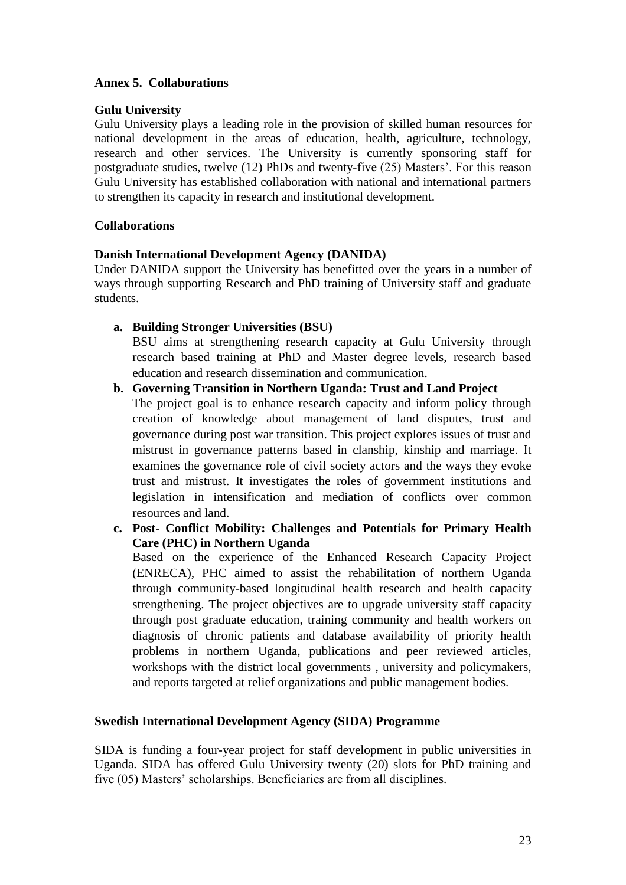### **Annex 5. Collaborations**

### **Gulu University**

Gulu University plays a leading role in the provision of skilled human resources for national development in the areas of education, health, agriculture, technology, research and other services. The University is currently sponsoring staff for postgraduate studies, twelve (12) PhDs and twenty-five (25) Masters'. For this reason Gulu University has established collaboration with national and international partners to strengthen its capacity in research and institutional development.

### **Collaborations**

### **Danish International Development Agency (DANIDA)**

Under DANIDA support the University has benefitted over the years in a number of ways through supporting Research and PhD training of University staff and graduate students.

**a. Building Stronger Universities (BSU)**

BSU aims at strengthening research capacity at Gulu University through research based training at PhD and Master degree levels, research based education and research dissemination and communication.

### **b. Governing Transition in Northern Uganda: Trust and Land Project**

The project goal is to enhance research capacity and inform policy through creation of knowledge about management of land disputes, trust and governance during post war transition. This project explores issues of trust and mistrust in governance patterns based in clanship, kinship and marriage. It examines the governance role of civil society actors and the ways they evoke trust and mistrust. It investigates the roles of government institutions and legislation in intensification and mediation of conflicts over common resources and land.

**c. Post- Conflict Mobility: Challenges and Potentials for Primary Health Care (PHC) in Northern Uganda**

Based on the experience of the Enhanced Research Capacity Project (ENRECA), PHC aimed to assist the rehabilitation of northern Uganda through community-based longitudinal health research and health capacity strengthening. The project objectives are to upgrade university staff capacity through post graduate education, training community and health workers on diagnosis of chronic patients and database availability of priority health problems in northern Uganda, publications and peer reviewed articles, workshops with the district local governments , university and policymakers, and reports targeted at relief organizations and public management bodies.

### **Swedish International Development Agency (SIDA) Programme**

SIDA is funding a four-year project for staff development in public universities in Uganda. SIDA has offered Gulu University twenty (20) slots for PhD training and five (05) Masters' scholarships. Beneficiaries are from all disciplines.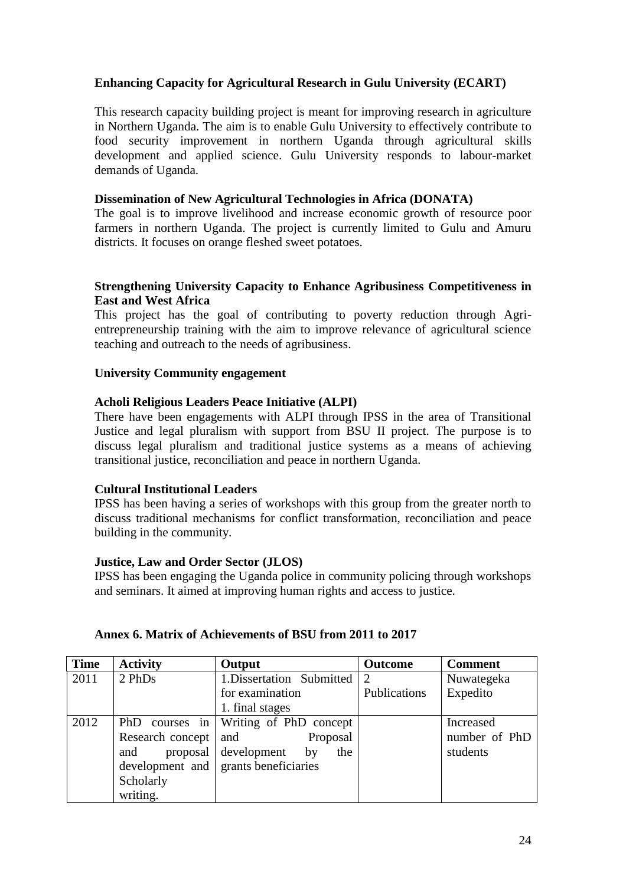### **Enhancing Capacity for Agricultural Research in Gulu University (ECART)**

This research capacity building project is meant for improving research in agriculture in Northern Uganda. The aim is to enable Gulu University to effectively contribute to food security improvement in northern Uganda through agricultural skills development and applied science. Gulu University responds to labour-market demands of Uganda.

### **Dissemination of New Agricultural Technologies in Africa (DONATA)**

The goal is to improve livelihood and increase economic growth of resource poor farmers in northern Uganda. The project is currently limited to Gulu and Amuru districts. It focuses on orange fleshed sweet potatoes.

### **Strengthening University Capacity to Enhance Agribusiness Competitiveness in East and West Africa**

This project has the goal of contributing to poverty reduction through Agrientrepreneurship training with the aim to improve relevance of agricultural science teaching and outreach to the needs of agribusiness.

### **University Community engagement**

### **Acholi Religious Leaders Peace Initiative (ALPI)**

There have been engagements with ALPI through IPSS in the area of Transitional Justice and legal pluralism with support from BSU II project. The purpose is to discuss legal pluralism and traditional justice systems as a means of achieving transitional justice, reconciliation and peace in northern Uganda.

### **Cultural Institutional Leaders**

IPSS has been having a series of workshops with this group from the greater north to discuss traditional mechanisms for conflict transformation, reconciliation and peace building in the community.

### **Justice, Law and Order Sector (JLOS)**

IPSS has been engaging the Uganda police in community policing through workshops and seminars. It aimed at improving human rights and access to justice.

| <b>Time</b> | <b>Activity</b>  | Output                               | <b>Outcome</b> | <b>Comment</b> |
|-------------|------------------|--------------------------------------|----------------|----------------|
| 2011        | 2 PhDs           | 1. Dissertation Submitted            | 2              | Nuwategeka     |
|             |                  | for examination                      | Publications   | Expedito       |
|             |                  | 1. final stages                      |                |                |
| 2012        | PhD courses in   | Writing of PhD concept               |                | Increased      |
|             | Research concept | Proposal<br>and                      |                | number of PhD  |
|             | proposal<br>and  | development<br>the<br>by             |                | students       |
|             |                  | development and grants beneficiaries |                |                |
|             | Scholarly        |                                      |                |                |
|             | writing.         |                                      |                |                |

### **Annex 6. Matrix of Achievements of BSU from 2011 to 2017**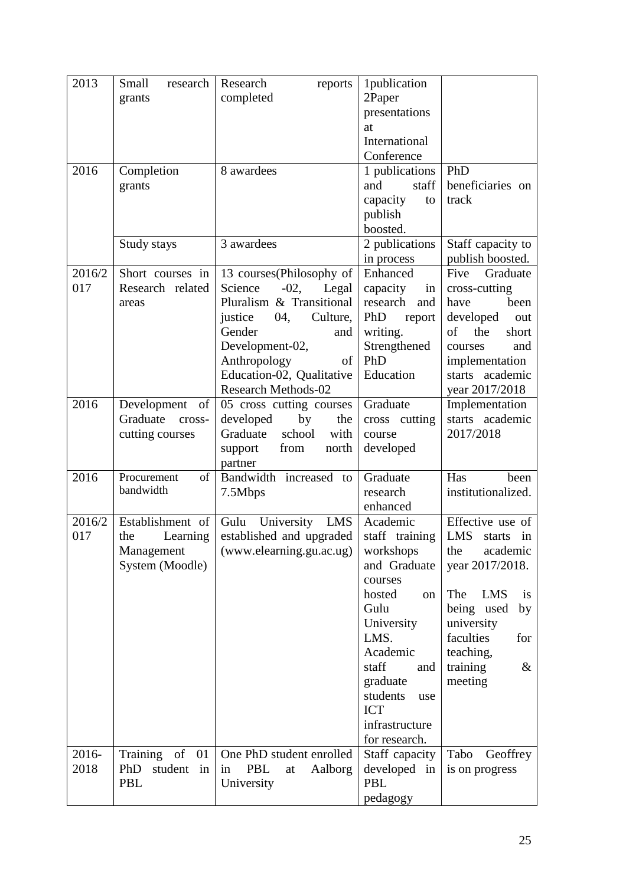| 2013   | Small<br>research<br>grants        | Research<br>reports<br>completed                       | 1publication<br>2Paper        |                                        |
|--------|------------------------------------|--------------------------------------------------------|-------------------------------|----------------------------------------|
|        |                                    |                                                        | presentations                 |                                        |
|        |                                    |                                                        | at                            |                                        |
|        |                                    |                                                        | International<br>Conference   |                                        |
| 2016   | Completion                         | 8 awardees                                             | 1 publications                | PhD                                    |
|        | grants                             |                                                        | staff<br>and                  | beneficiaries on                       |
|        |                                    |                                                        | capacity<br>to<br>publish     | track                                  |
|        |                                    |                                                        | boosted.                      |                                        |
|        | Study stays                        | 3 awardees                                             | 2 publications<br>in process  | Staff capacity to<br>publish boosted.  |
| 2016/2 | Short courses in                   | 13 courses(Philosophy of                               | Enhanced                      | Graduate<br>Five                       |
| 017    | Research related                   | Legal<br>Science<br>$-02,$                             | capacity<br>in                | cross-cutting                          |
|        | areas                              | Pluralism & Transitional                               | research<br>and               | have<br>been                           |
|        |                                    | justice<br>04,<br>Culture,<br>Gender<br>and            | PhD<br>report<br>writing.     | developed<br>out<br>of<br>the<br>short |
|        |                                    | Development-02,                                        | Strengthened                  | courses<br>and                         |
|        |                                    | Anthropology<br>of                                     | PhD                           | implementation                         |
|        |                                    | Education-02, Qualitative                              | Education                     | starts academic                        |
| 2016   | Development<br>of                  | <b>Research Methods-02</b><br>05 cross cutting courses | Graduate                      | year 2017/2018<br>Implementation       |
|        | Graduate<br>cross-                 | developed<br>by<br>the                                 | cross cutting                 | starts academic                        |
|        | cutting courses                    | Graduate<br>school<br>with                             | course                        | 2017/2018                              |
|        |                                    | from<br>north<br>support<br>partner                    | developed                     |                                        |
| 2016   | Procurement<br>of                  | Bandwidth increased to                                 | Graduate                      | Has<br>been                            |
|        | bandwidth                          | 7.5Mbps                                                | research<br>enhanced          | institutionalized.                     |
| 2016/2 | Establishment of                   | University<br><b>LMS</b><br>Gulu                       | Academic                      | Effective use of                       |
| 017    | Learning<br>the                    | established and upgraded                               | staff training                | <b>LMS</b><br>starts<br>in             |
|        | Management                         | (www.elearning.gu.ac.ug)                               | workshops                     | the<br>academic                        |
|        | System (Moodle)                    |                                                        | and Graduate<br>courses       | year 2017/2018.                        |
|        |                                    |                                                        | hosted<br>on                  | The<br><b>LMS</b><br><i>is</i>         |
|        |                                    |                                                        | Gulu                          | being used<br>by                       |
|        |                                    |                                                        | University                    | university                             |
|        |                                    |                                                        | LMS.<br>Academic              | faculties<br>for<br>teaching,          |
|        |                                    |                                                        | staff<br>and                  | training<br>$\&$                       |
|        |                                    |                                                        | graduate                      | meeting                                |
|        |                                    |                                                        | students<br>use<br><b>ICT</b> |                                        |
|        |                                    |                                                        | infrastructure                |                                        |
|        |                                    |                                                        | for research.                 |                                        |
| 2016-  | Training<br>of<br>01               | One PhD student enrolled                               | Staff capacity                | Tabo<br>Geoffrey                       |
| 2018   | PhD<br>student<br>in<br><b>PBL</b> | PBL<br>Aalborg<br>in<br>at<br>University               | developed in<br>PBL           | is on progress                         |
|        |                                    |                                                        | pedagogy                      |                                        |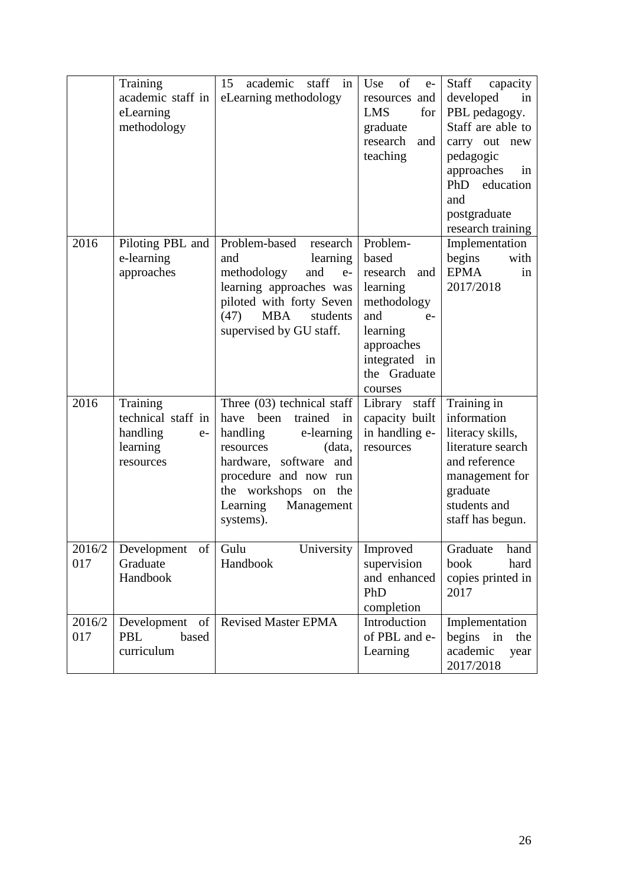|               | Training<br>academic staff in<br>eLearning<br>methodology                   | academic staff in<br>15<br>eLearning methodology                                                                                                                                                                                    | Use<br>of<br>$e-$<br>resources and<br><b>LMS</b><br>for<br>graduate<br>research<br>and<br>teaching                                                   | Staff<br>capacity<br>developed<br>in<br>PBL pedagogy.<br>Staff are able to<br>carry out new<br>pedagogic<br>approaches<br>in<br>PhD<br>education<br>and<br>postgraduate<br>research training |
|---------------|-----------------------------------------------------------------------------|-------------------------------------------------------------------------------------------------------------------------------------------------------------------------------------------------------------------------------------|------------------------------------------------------------------------------------------------------------------------------------------------------|----------------------------------------------------------------------------------------------------------------------------------------------------------------------------------------------|
| 2016          | Piloting PBL and<br>e-learning<br>approaches                                | Problem-based<br>research<br>learning<br>and<br>methodology<br>and<br>$e-$<br>learning approaches was<br>piloted with forty Seven<br><b>MBA</b><br>students<br>(47)<br>supervised by GU staff.                                      | Problem-<br>based<br>research<br>and<br>learning<br>methodology<br>and<br>$e-$<br>learning<br>approaches<br>integrated in<br>the Graduate<br>courses | Implementation<br>begins<br>with<br><b>EPMA</b><br>in<br>2017/2018                                                                                                                           |
| 2016          | Training<br>technical staff in<br>handling<br>$e-$<br>learning<br>resources | Three $(03)$ technical staff<br>trained<br>have been<br>in<br>handling<br>e-learning<br>(data,<br>resources<br>hardware, software<br>and<br>procedure and now run<br>workshops on the<br>the<br>Learning<br>Management<br>systems). | Library staff<br>capacity built<br>in handling e-<br>resources                                                                                       | Training in<br>information<br>literacy skills,<br>literature search<br>and reference<br>management for<br>graduate<br>students and<br>staff has begun.                                       |
| 2016/2<br>017 | Development of<br>Graduate<br>Handbook                                      | Gulu<br>University<br>Handbook                                                                                                                                                                                                      | Improved<br>supervision<br>and enhanced<br>PhD<br>completion                                                                                         | Graduate<br>hand<br>hard<br>book<br>copies printed in<br>2017                                                                                                                                |
| 2016/2<br>017 | of<br>Development<br>based<br>PBL<br>curriculum                             | <b>Revised Master EPMA</b>                                                                                                                                                                                                          | Introduction<br>of PBL and e-<br>Learning                                                                                                            | Implementation<br>begins<br>in<br>the<br>academic<br>year<br>2017/2018                                                                                                                       |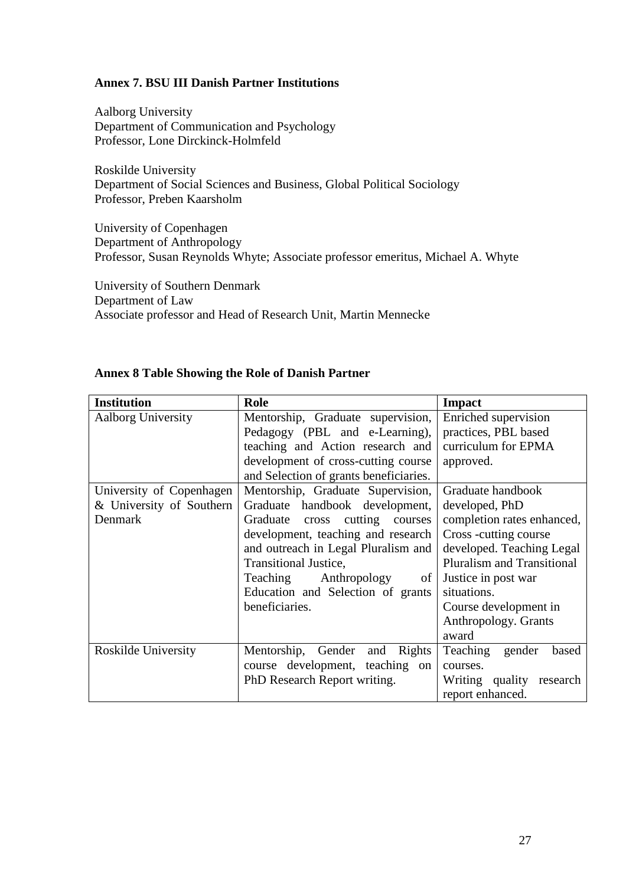### **Annex 7. BSU III Danish Partner Institutions**

Aalborg University Department of Communication and Psychology Professor, Lone Dirckinck-Holmfeld

Roskilde University Department of Social Sciences and Business, Global Political Sociology Professor, Preben Kaarsholm

University of Copenhagen Department of Anthropology Professor, Susan Reynolds Whyte; Associate professor emeritus, Michael A. Whyte

University of Southern Denmark Department of Law Associate professor and Head of Research Unit, Martin Mennecke

| <b>Institution</b>        | Role                                   | <b>Impact</b>                     |
|---------------------------|----------------------------------------|-----------------------------------|
| <b>Aalborg University</b> | Mentorship, Graduate supervision,      | Enriched supervision              |
|                           | Pedagogy (PBL and e-Learning),         | practices, PBL based              |
|                           | teaching and Action research and       | curriculum for EPMA               |
|                           | development of cross-cutting course    | approved.                         |
|                           | and Selection of grants beneficiaries. |                                   |
| University of Copenhagen  | Mentorship, Graduate Supervision,      | Graduate handbook                 |
| & University of Southern  | handbook development,<br>Graduate      | developed, PhD                    |
| Denmark                   | cross cutting<br>Graduate<br>courses   | completion rates enhanced,        |
|                           | development, teaching and research     | Cross -cutting course             |
|                           | and outreach in Legal Pluralism and    | developed. Teaching Legal         |
|                           | <b>Transitional Justice,</b>           | <b>Pluralism and Transitional</b> |
|                           | Teaching<br>Anthropology<br>of         | Justice in post war               |
|                           | Education and Selection of grants      | situations.                       |
|                           | beneficiaries.                         | Course development in             |
|                           |                                        | Anthropology. Grants              |
|                           |                                        | award                             |
| Roskilde University       | Mentorship, Gender<br>and Rights       | Teaching<br>gender<br>based       |
|                           | course development, teaching on        | courses.                          |
|                           | PhD Research Report writing.           | Writing quality<br>research       |
|                           |                                        | report enhanced.                  |

### **Annex 8 Table Showing the Role of Danish Partner**